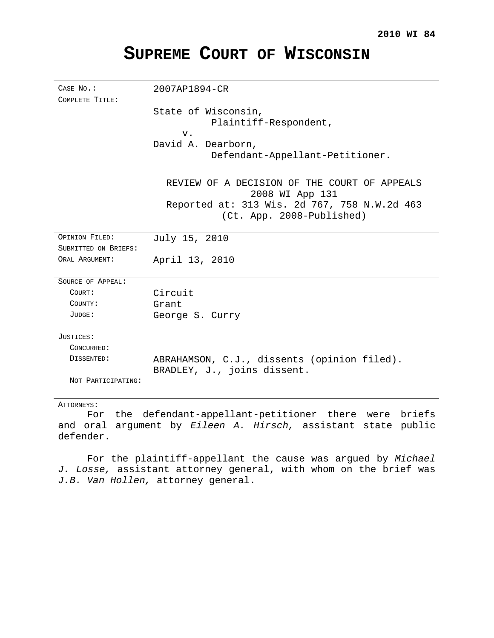# **SUPREME COURT OF WISCONSIN**

| CASE No.:            | 2007AP1894-CR                                                   |
|----------------------|-----------------------------------------------------------------|
| COMPLETE TITLE:      |                                                                 |
|                      | State of Wisconsin,                                             |
|                      | Plaintiff-Respondent,                                           |
|                      | $V$ .                                                           |
|                      | David A. Dearborn,                                              |
|                      | Defendant-Appellant-Petitioner.                                 |
|                      |                                                                 |
|                      | REVIEW OF A DECISION OF THE COURT OF APPEALS<br>2008 WI App 131 |
|                      | Reported at: 313 Wis. 2d 767, 758 N.W.2d 463                    |
|                      | (Ct. App. 2008-Published)                                       |
|                      |                                                                 |
| OPINION FILED:       | July 15, 2010                                                   |
| SUBMITTED ON BRIEFS: |                                                                 |
| ORAL ARGUMENT:       | April 13, 2010                                                  |
|                      |                                                                 |
| SOURCE OF APPEAL:    |                                                                 |
| COURT:               | Circuit                                                         |
| COUNTY:              | Grant.                                                          |
| JUDGE:               | George S. Curry                                                 |
|                      |                                                                 |
| JUSTICES:            |                                                                 |
| CONCURRED:           |                                                                 |
| DISSENTED:           | ABRAHAMSON, C.J., dissents (opinion filed).                     |
|                      | BRADLEY, J., joins dissent.                                     |
| NOT PARTICIPATING:   |                                                                 |
|                      |                                                                 |

## ATTORNEYS:

For the defendant-appellant-petitioner there were briefs and oral argument by Eileen A. Hirsch, assistant state public defender.

For the plaintiff-appellant the cause was argued by Michael J. Losse, assistant attorney general, with whom on the brief was J.B. Van Hollen, attorney general.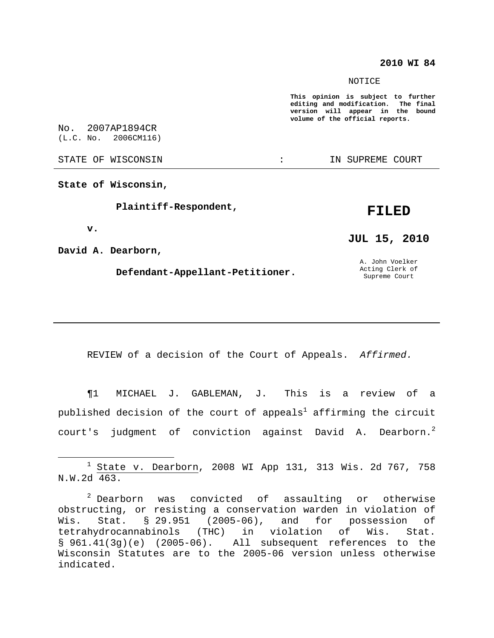## **2010 WI 84**

#### NOTICE

**This opinion is subject to further editing and modification. The final version will appear in the bound volume of the official reports.**

No. 2007AP1894CR (L.C. No. 2006CM116)

STATE OF WISCONSIN THE RESERVE STATE OF WISCONSIN STATE OF THE SUPREME COURT

**State of Wisconsin,**

**Plaintiff-Respondent,**

# **FILED**

**v.**

**David A. Dearborn,**

**Defendant-Appellant-Petitioner.**

**JUL 15, 2010**

A. John Voelker Acting Clerk of Supreme Court

REVIEW of a decision of the Court of Appeals. Affirmed.

¶1 MICHAEL J. GABLEMAN, J. This is a review of a published decision of the court of appeals $^{\rm l}$  affirming the circuit court's judgment of conviction against David A. Dearborn. $^2$ 

 $1$  State v. Dearborn, 2008 WI App 131, 313 Wis. 2d 767, 758 N.W.2d 463.

 $2$  Dearborn was convicted of assaulting or otherwise obstructing, or resisting a conservation warden in violation of Wis. Stat. § 29.951 (2005-06), and for possession of tetrahydrocannabinols (THC) in violation of Wis. Stat. § 961.41(3g)(e) (2005-06). All subsequent references to the Wisconsin Statutes are to the 2005-06 version unless otherwise indicated.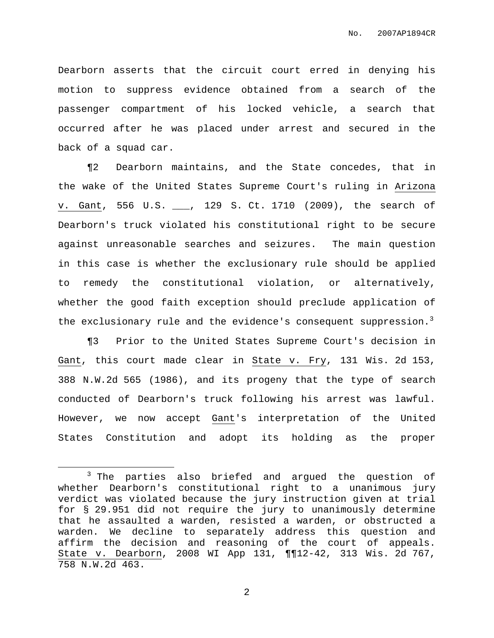Dearborn asserts that the circuit court erred in denying his motion to suppress evidence obtained from a search of the passenger compartment of his locked vehicle, a search that occurred after he was placed under arrest and secured in the back of a squad car.

¶2 Dearborn maintains, and the State concedes, that in the wake of the United States Supreme Court's ruling in Arizona v. Gant, 556 U.S. \_\_\_, 129 S. Ct. 1710 (2009), the search of Dearborn's truck violated his constitutional right to be secure against unreasonable searches and seizures. The main question in this case is whether the exclusionary rule should be applied to remedy the constitutional violation, or alternatively, whether the good faith exception should preclude application of the exclusionary rule and the evidence's consequent suppression.<sup>3</sup>

¶3 Prior to the United States Supreme Court's decision in Gant, this court made clear in State v. Fry, 131 Wis. 2d 153, 388 N.W.2d 565 (1986), and its progeny that the type of search conducted of Dearborn's truck following his arrest was lawful. However, we now accept Gant's interpretation of the United States Constitution and adopt its holding as the proper

<sup>3</sup> The parties also briefed and argued the question of whether Dearborn's constitutional right to a unanimous jury verdict was violated because the jury instruction given at trial for § 29.951 did not require the jury to unanimously determine that he assaulted a warden, resisted a warden, or obstructed a warden. We decline to separately address this question and affirm the decision and reasoning of the court of appeals. State v. Dearborn, 2008 WI App 131, ¶¶12-42, 313 Wis. 2d 767, 758 N.W.2d 463.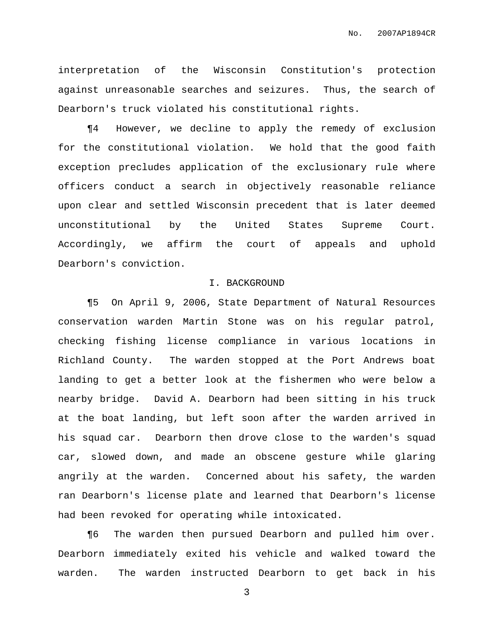interpretation of the Wisconsin Constitution's protection against unreasonable searches and seizures. Thus, the search of Dearborn's truck violated his constitutional rights.

¶4 However, we decline to apply the remedy of exclusion for the constitutional violation. We hold that the good faith exception precludes application of the exclusionary rule where officers conduct a search in objectively reasonable reliance upon clear and settled Wisconsin precedent that is later deemed unconstitutional by the United States Supreme Court. Accordingly, we affirm the court of appeals and uphold Dearborn's conviction.

# I. BACKGROUND

¶5 On April 9, 2006, State Department of Natural Resources conservation warden Martin Stone was on his regular patrol, checking fishing license compliance in various locations in Richland County. The warden stopped at the Port Andrews boat landing to get a better look at the fishermen who were below a nearby bridge. David A. Dearborn had been sitting in his truck at the boat landing, but left soon after the warden arrived in his squad car. Dearborn then drove close to the warden's squad car, slowed down, and made an obscene gesture while glaring angrily at the warden. Concerned about his safety, the warden ran Dearborn's license plate and learned that Dearborn's license had been revoked for operating while intoxicated.

¶6 The warden then pursued Dearborn and pulled him over. Dearborn immediately exited his vehicle and walked toward the warden. The warden instructed Dearborn to get back in his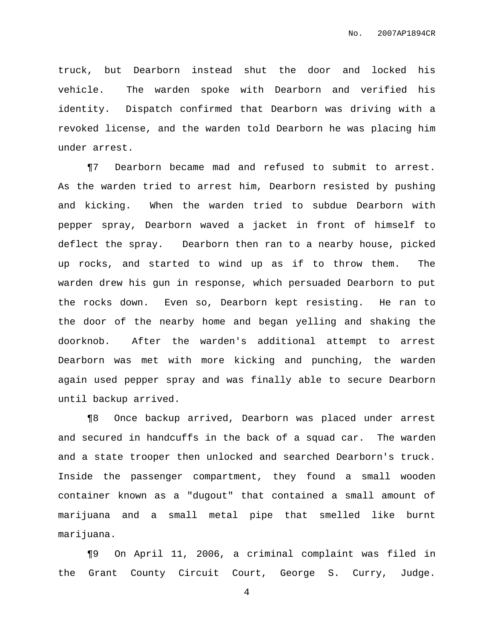truck, but Dearborn instead shut the door and locked his vehicle. The warden spoke with Dearborn and verified his identity. Dispatch confirmed that Dearborn was driving with a revoked license, and the warden told Dearborn he was placing him under arrest.

¶7 Dearborn became mad and refused to submit to arrest. As the warden tried to arrest him, Dearborn resisted by pushing and kicking. When the warden tried to subdue Dearborn with pepper spray, Dearborn waved a jacket in front of himself to deflect the spray. Dearborn then ran to a nearby house, picked up rocks, and started to wind up as if to throw them. The warden drew his gun in response, which persuaded Dearborn to put the rocks down. Even so, Dearborn kept resisting. He ran to the door of the nearby home and began yelling and shaking the doorknob. After the warden's additional attempt to arrest Dearborn was met with more kicking and punching, the warden again used pepper spray and was finally able to secure Dearborn until backup arrived.

¶8 Once backup arrived, Dearborn was placed under arrest and secured in handcuffs in the back of a squad car. The warden and a state trooper then unlocked and searched Dearborn's truck. Inside the passenger compartment, they found a small wooden container known as a "dugout" that contained a small amount of marijuana and a small metal pipe that smelled like burnt marijuana.

¶9 On April 11, 2006, a criminal complaint was filed in the Grant County Circuit Court, George S. Curry, Judge.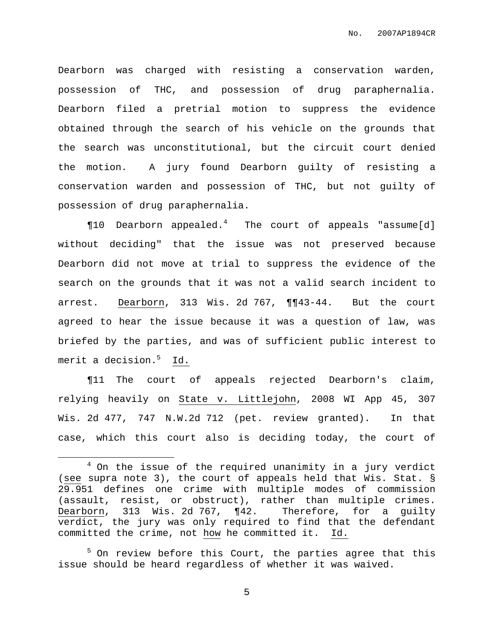Dearborn was charged with resisting a conservation warden, possession of THC, and possession of drug paraphernalia. Dearborn filed a pretrial motion to suppress the evidence obtained through the search of his vehicle on the grounds that the search was unconstitutional, but the circuit court denied the motion. A jury found Dearborn guilty of resisting a conservation warden and possession of THC, but not guilty of possession of drug paraphernalia.

 $\P 10$  Dearborn appealed.<sup>4</sup> The court of appeals "assume[d] without deciding" that the issue was not preserved because Dearborn did not move at trial to suppress the evidence of the search on the grounds that it was not a valid search incident to arrest. Dearborn, 313 Wis. 2d 767, ¶¶43-44. But the court agreed to hear the issue because it was a question of law, was briefed by the parties, and was of sufficient public interest to merit a decision. <sup>5</sup> Id.

¶11 The court of appeals rejected Dearborn's claim, relying heavily on State v. Littlejohn, 2008 WI App 45, 307 Wis. 2d 477, 747 N.W.2d 712 (pet. review granted). In that case, which this court also is deciding today, the court of

 $4$  On the issue of the required unanimity in a jury verdict (see supra note 3), the court of appeals held that Wis. Stat. § 29.951 defines one crime with multiple modes of commission (assault, resist, or obstruct), rather than multiple crimes. Dearborn, 313 Wis. 2d 767, ¶42. Therefore, for a guilty verdict, the jury was only required to find that the defendant committed the crime, not how he committed it. Id.

<sup>&</sup>lt;sup>5</sup> On review before this Court, the parties agree that this issue should be heard regardless of whether it was waived.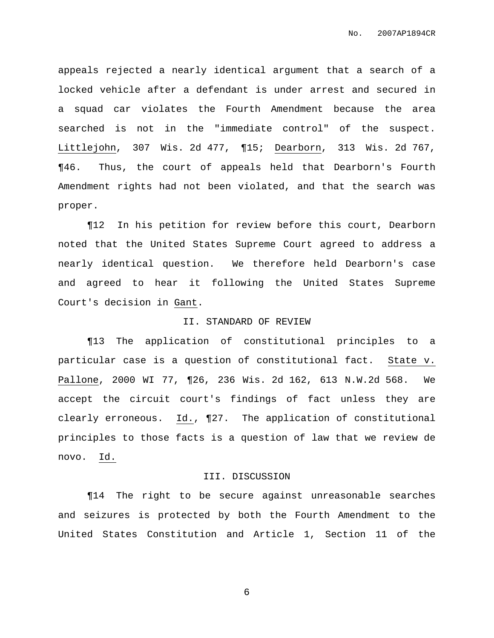appeals rejected a nearly identical argument that a search of a locked vehicle after a defendant is under arrest and secured in a squad car violates the Fourth Amendment because the area searched is not in the "immediate control" of the suspect. Littlejohn, 307 Wis. 2d 477, ¶15; Dearborn, 313 Wis. 2d 767, ¶46. Thus, the court of appeals held that Dearborn's Fourth Amendment rights had not been violated, and that the search was proper.

¶12 In his petition for review before this court, Dearborn noted that the United States Supreme Court agreed to address a nearly identical question. We therefore held Dearborn's case and agreed to hear it following the United States Supreme Court's decision in Gant.

### II. STANDARD OF REVIEW

¶13 The application of constitutional principles to a particular case is a question of constitutional fact. State v. Pallone, 2000 WI 77, ¶26, 236 Wis. 2d 162, 613 N.W.2d 568. We accept the circuit court's findings of fact unless they are clearly erroneous. Id., ¶27. The application of constitutional principles to those facts is a question of law that we review de novo. Id.

## III. DISCUSSION

¶14 The right to be secure against unreasonable searches and seizures is protected by both the Fourth Amendment to the United States Constitution and Article 1, Section 11 of the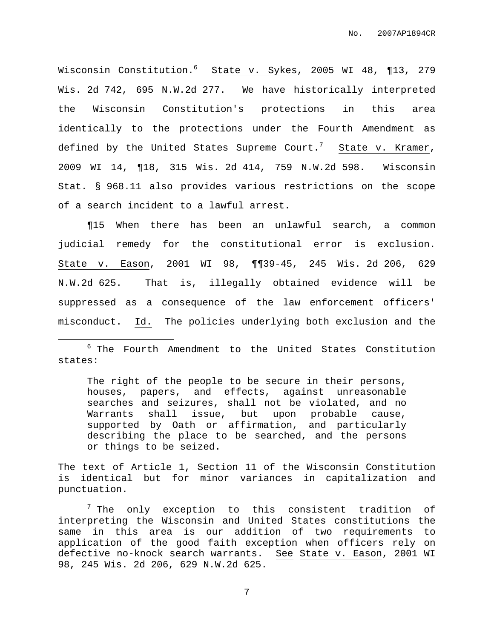Wisconsin Constitution. <sup>6</sup> State v. Sykes, 2005 WI 48, ¶13, 279 Wis. 2d 742, 695 N.W.2d 277. We have historically interpreted the Wisconsin Constitution's protections in this area identically to the protections under the Fourth Amendment as defined by the United States Supreme Court. $^7$  State v. Kramer, 2009 WI 14, ¶18, 315 Wis. 2d 414, 759 N.W.2d 598. Wisconsin Stat. § 968.11 also provides various restrictions on the scope of a search incident to a lawful arrest.

¶15 When there has been an unlawful search, a common judicial remedy for the constitutional error is exclusion. State v. Eason, 2001 WI 98, ¶¶39-45, 245 Wis. 2d 206, 629 N.W.2d 625. That is, illegally obtained evidence will be suppressed as a consequence of the law enforcement officers' misconduct. Id. The policies underlying both exclusion and the

<sup>6</sup> The Fourth Amendment to the United States Constitution states:

The right of the people to be secure in their persons, houses, papers, and effects, against unreasonable searches and seizures, shall not be violated, and no Warrants shall issue, but upon probable cause, supported by Oath or affirmation, and particularly describing the place to be searched, and the persons or things to be seized.

The text of Article 1, Section 11 of the Wisconsin Constitution is identical but for minor variances in capitalization and punctuation.

 $7$  The only exception to this consistent tradition of interpreting the Wisconsin and United States constitutions the same in this area is our addition of two requirements to application of the good faith exception when officers rely on defective no-knock search warrants. See State v. Eason, 2001 WI 98, 245 Wis. 2d 206, 629 N.W.2d 625.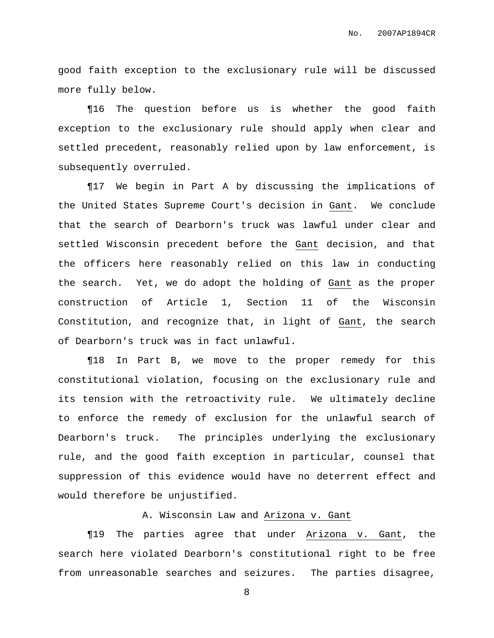good faith exception to the exclusionary rule will be discussed more fully below.

¶16 The question before us is whether the good faith exception to the exclusionary rule should apply when clear and settled precedent, reasonably relied upon by law enforcement, is subsequently overruled.

¶17 We begin in Part A by discussing the implications of the United States Supreme Court's decision in Gant. We conclude that the search of Dearborn's truck was lawful under clear and settled Wisconsin precedent before the Gant decision, and that the officers here reasonably relied on this law in conducting the search. Yet, we do adopt the holding of Gant as the proper construction of Article 1, Section 11 of the Wisconsin Constitution, and recognize that, in light of Gant, the search of Dearborn's truck was in fact unlawful.

¶18 In Part B, we move to the proper remedy for this constitutional violation, focusing on the exclusionary rule and its tension with the retroactivity rule. We ultimately decline to enforce the remedy of exclusion for the unlawful search of Dearborn's truck. The principles underlying the exclusionary rule, and the good faith exception in particular, counsel that suppression of this evidence would have no deterrent effect and would therefore be unjustified.

# A. Wisconsin Law and Arizona v. Gant

¶19 The parties agree that under Arizona v. Gant, the search here violated Dearborn's constitutional right to be free from unreasonable searches and seizures. The parties disagree,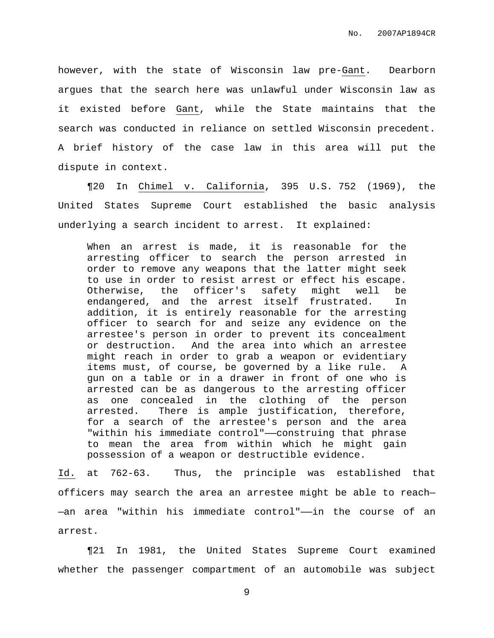however, with the state of Wisconsin law pre-Gant. Dearborn argues that the search here was unlawful under Wisconsin law as it existed before Gant, while the State maintains that the search was conducted in reliance on settled Wisconsin precedent. A brief history of the case law in this area will put the dispute in context.

¶20 In Chimel v. California, 395 U.S. 752 (1969), the United States Supreme Court established the basic analysis underlying a search incident to arrest. It explained:

When an arrest is made, it is reasonable for the arresting officer to search the person arrested in order to remove any weapons that the latter might seek to use in order to resist arrest or effect his escape. Otherwise, the officer's safety might well be endangered, and the arrest itself frustrated. In addition, it is entirely reasonable for the arresting officer to search for and seize any evidence on the arrestee's person in order to prevent its concealment or destruction. And the area into which an arrestee might reach in order to grab a weapon or evidentiary items must, of course, be governed by a like rule. A gun on a table or in a drawer in front of one who is arrested can be as dangerous to the arresting officer as one concealed in the clothing of the person arrested. There is ample justification, therefore, for a search of the arrestee's person and the area "within his immediate control"——construing that phrase to mean the area from within which he might gain possession of a weapon or destructible evidence.

Id. at 762-63. Thus, the principle was established that officers may search the area an arrestee might be able to reach— —an area "within his immediate control"——in the course of an arrest.

¶21 In 1981, the United States Supreme Court examined whether the passenger compartment of an automobile was subject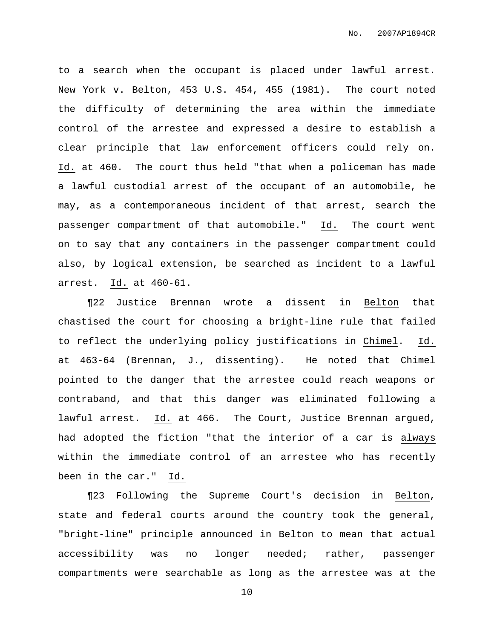to a search when the occupant is placed under lawful arrest. New York v. Belton, 453 U.S. 454, 455 (1981). The court noted the difficulty of determining the area within the immediate control of the arrestee and expressed a desire to establish a clear principle that law enforcement officers could rely on. Id. at 460. The court thus held "that when a policeman has made a lawful custodial arrest of the occupant of an automobile, he may, as a contemporaneous incident of that arrest, search the passenger compartment of that automobile." Id. The court went on to say that any containers in the passenger compartment could also, by logical extension, be searched as incident to a lawful arrest. Id. at 460-61.

¶22 Justice Brennan wrote a dissent in Belton that chastised the court for choosing a bright-line rule that failed to reflect the underlying policy justifications in Chimel. Id. at 463-64 (Brennan, J., dissenting). He noted that Chimel pointed to the danger that the arrestee could reach weapons or contraband, and that this danger was eliminated following a lawful arrest. Id. at 466. The Court, Justice Brennan argued, had adopted the fiction "that the interior of a car is always within the immediate control of an arrestee who has recently been in the car." Id.

¶23 Following the Supreme Court's decision in Belton, state and federal courts around the country took the general, "bright-line" principle announced in Belton to mean that actual accessibility was no longer needed; rather, passenger compartments were searchable as long as the arrestee was at the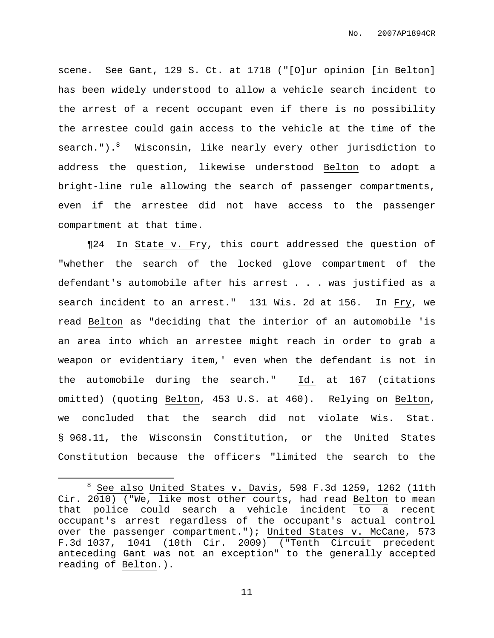scene. See Gant, 129 S. Ct. at 1718 ("[O]ur opinion [in Belton] has been widely understood to allow a vehicle search incident to the arrest of a recent occupant even if there is no possibility the arrestee could gain access to the vehicle at the time of the search.").<sup>8</sup> Wisconsin, like nearly every other jurisdiction to address the question, likewise understood Belton to adopt a bright-line rule allowing the search of passenger compartments, even if the arrestee did not have access to the passenger compartment at that time.

¶24 In State v. Fry, this court addressed the question of "whether the search of the locked glove compartment of the defendant's automobile after his arrest . . . was justified as a search incident to an arrest." 131 Wis. 2d at 156. In Fry, we read Belton as "deciding that the interior of an automobile 'is an area into which an arrestee might reach in order to grab a weapon or evidentiary item,' even when the defendant is not in the automobile during the search." Id. at 167 (citations omitted) (quoting Belton, 453 U.S. at 460). Relying on Belton, we concluded that the search did not violate Wis. Stat. § 968.11, the Wisconsin Constitution, or the United States Constitution because the officers "limited the search to the

 $8$  See also United States v. Davis, 598 F.3d 1259, 1262 (11th Cir. 2010) ("We, like most other courts, had read Belton to mean that police could search a vehicle incident to a recent occupant's arrest regardless of the occupant's actual control over the passenger compartment."); United States v. McCane, 573 F.3d 1037, 1041 (10th Cir. 2009) ("Tenth Circuit precedent anteceding Gant was not an exception" to the generally accepted reading of Belton.).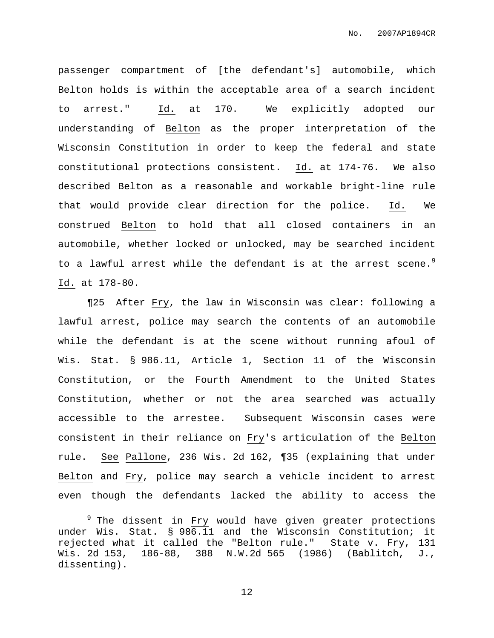passenger compartment of [the defendant's] automobile, which Belton holds is within the acceptable area of a search incident to arrest." Id. at 170. We explicitly adopted our understanding of Belton as the proper interpretation of the Wisconsin Constitution in order to keep the federal and state constitutional protections consistent. Id. at 174-76. We also described Belton as a reasonable and workable bright-line rule that would provide clear direction for the police. Id. We construed Belton to hold that all closed containers in an automobile, whether locked or unlocked, may be searched incident to a lawful arrest while the defendant is at the arrest scene.<sup>9</sup> Id. at 178-80.

¶25 After Fry, the law in Wisconsin was clear: following a lawful arrest, police may search the contents of an automobile while the defendant is at the scene without running afoul of Wis. Stat. § 986.11, Article 1, Section 11 of the Wisconsin Constitution, or the Fourth Amendment to the United States Constitution, whether or not the area searched was actually accessible to the arrestee. Subsequent Wisconsin cases were consistent in their reliance on Fry's articulation of the Belton rule. See Pallone, 236 Wis. 2d 162, ¶35 (explaining that under Belton and Fry, police may search a vehicle incident to arrest even though the defendants lacked the ability to access the

<sup>&</sup>lt;sup>9</sup> The dissent in Fry would have given greater protections under Wis. Stat. § 986.11 and the Wisconsin Constitution; it rejected what it called the "Belton rule." State v. Fry, 131 Wis. 2d 153, 186-88, 388 N.W.2d 565 (1986) (Bablitch, J., dissenting).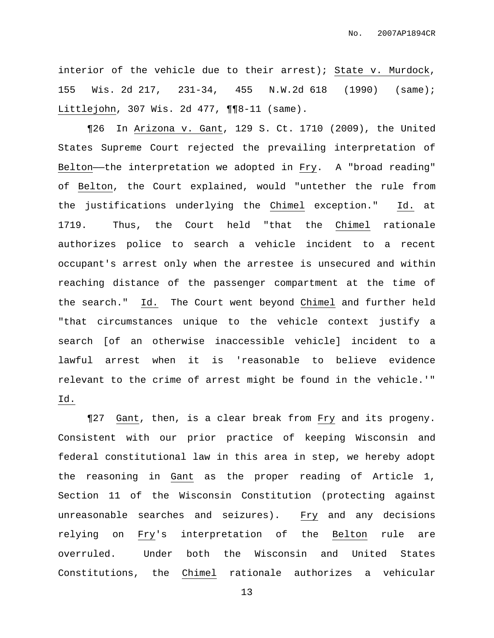interior of the vehicle due to their arrest); State v. Murdock, 155 Wis. 2d 217, 231-34, 455 N.W.2d 618 (1990) (same); Littlejohn, 307 Wis. 2d 477, ¶¶8-11 (same).

¶26 In Arizona v. Gant, 129 S. Ct. 1710 (2009), the United States Supreme Court rejected the prevailing interpretation of Belton—the interpretation we adopted in Fry. A "broad reading" of Belton, the Court explained, would "untether the rule from the justifications underlying the Chimel exception." Id. at 1719. Thus, the Court held "that the Chimel rationale authorizes police to search a vehicle incident to a recent occupant's arrest only when the arrestee is unsecured and within reaching distance of the passenger compartment at the time of the search." Id. The Court went beyond Chimel and further held "that circumstances unique to the vehicle context justify a search [of an otherwise inaccessible vehicle] incident to a lawful arrest when it is 'reasonable to believe evidence relevant to the crime of arrest might be found in the vehicle.'" Id.

¶27 Gant, then, is a clear break from Fry and its progeny. Consistent with our prior practice of keeping Wisconsin and federal constitutional law in this area in step, we hereby adopt the reasoning in Gant as the proper reading of Article 1, Section 11 of the Wisconsin Constitution (protecting against unreasonable searches and seizures). Fry and any decisions relying on Fry's interpretation of the Belton rule are overruled. Under both the Wisconsin and United States Constitutions, the Chimel rationale authorizes a vehicular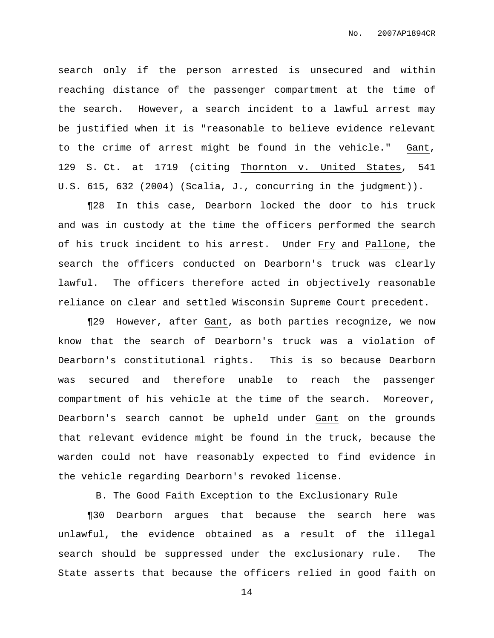search only if the person arrested is unsecured and within reaching distance of the passenger compartment at the time of the search. However, a search incident to a lawful arrest may be justified when it is "reasonable to believe evidence relevant to the crime of arrest might be found in the vehicle." Gant, 129 S. Ct. at 1719 (citing Thornton v. United States, 541 U.S. 615, 632 (2004) (Scalia, J., concurring in the judgment)).

¶28 In this case, Dearborn locked the door to his truck and was in custody at the time the officers performed the search of his truck incident to his arrest. Under Fry and Pallone, the search the officers conducted on Dearborn's truck was clearly lawful. The officers therefore acted in objectively reasonable reliance on clear and settled Wisconsin Supreme Court precedent.

¶29 However, after Gant, as both parties recognize, we now know that the search of Dearborn's truck was a violation of Dearborn's constitutional rights. This is so because Dearborn was secured and therefore unable to reach the passenger compartment of his vehicle at the time of the search. Moreover, Dearborn's search cannot be upheld under Gant on the grounds that relevant evidence might be found in the truck, because the warden could not have reasonably expected to find evidence in the vehicle regarding Dearborn's revoked license.

B. The Good Faith Exception to the Exclusionary Rule

¶30 Dearborn argues that because the search here was unlawful, the evidence obtained as a result of the illegal search should be suppressed under the exclusionary rule. The State asserts that because the officers relied in good faith on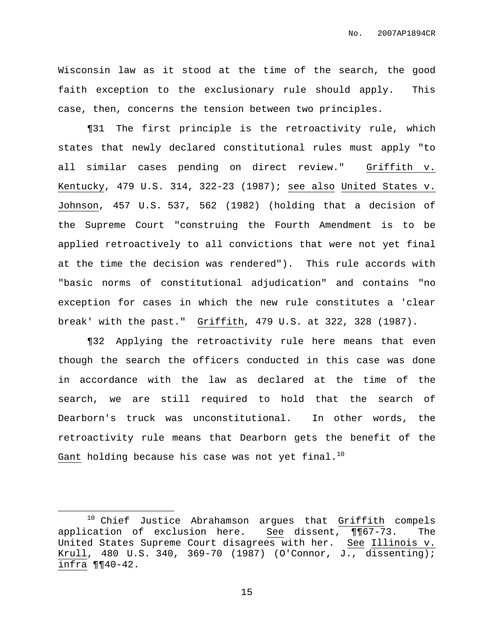Wisconsin law as it stood at the time of the search, the good faith exception to the exclusionary rule should apply. This case, then, concerns the tension between two principles.

¶31 The first principle is the retroactivity rule, which states that newly declared constitutional rules must apply "to all similar cases pending on direct review." Griffith v. Kentucky, 479 U.S. 314, 322-23 (1987); see also United States v. Johnson, 457 U.S. 537, 562 (1982) (holding that a decision of the Supreme Court "construing the Fourth Amendment is to be applied retroactively to all convictions that were not yet final at the time the decision was rendered"). This rule accords with "basic norms of constitutional adjudication" and contains "no exception for cases in which the new rule constitutes a 'clear break' with the past." Griffith, 479 U.S. at 322, 328 (1987).

¶32 Applying the retroactivity rule here means that even though the search the officers conducted in this case was done in accordance with the law as declared at the time of the search, we are still required to hold that the search of Dearborn's truck was unconstitutional. In other words, the retroactivity rule means that Dearborn gets the benefit of the Gant holding because his case was not yet final. $^{10}$ 

<sup>&</sup>lt;sup>10</sup> Chief Justice Abrahamson argues that Griffith compels application of exclusion here. See dissent, ¶¶67-73. The United States Supreme Court disagrees with her. See Illinois v. Krull, 480 U.S. 340, 369-70 (1987) (O'Connor, J., dissenting); infra ¶¶40-42.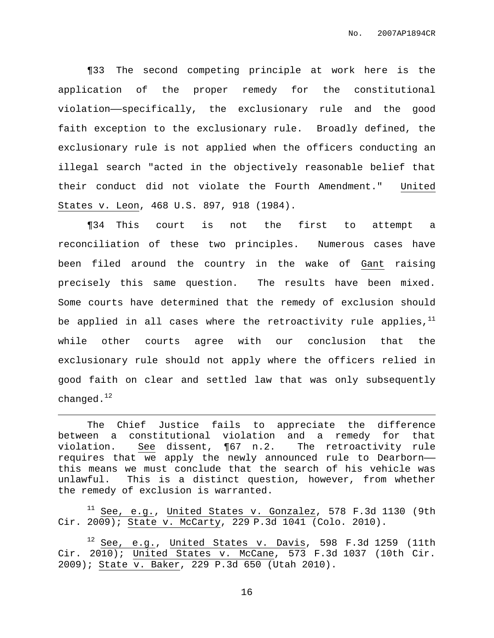¶33 The second competing principle at work here is the application of the proper remedy for the constitutional violation——specifically, the exclusionary rule and the good faith exception to the exclusionary rule. Broadly defined, the exclusionary rule is not applied when the officers conducting an illegal search "acted in the objectively reasonable belief that their conduct did not violate the Fourth Amendment." United States v. Leon, 468 U.S. 897, 918 (1984).

¶34 This court is not the first to attempt a reconciliation of these two principles. Numerous cases have been filed around the country in the wake of Gant raising precisely this same question. The results have been mixed. Some courts have determined that the remedy of exclusion should be applied in all cases where the retroactivity rule applies, $^{\rm 11}$ while other courts agree with our conclusion that the exclusionary rule should not apply where the officers relied in good faith on clear and settled law that was only subsequently changed. $^{\rm 12}$ 

The Chief Justice fails to appreciate the difference between a constitutional violation and a remedy for that violation. See dissent, ¶67 n.2. The retroactivity rule requires that we apply the newly announced rule to Dearborn— this means we must conclude that the search of his vehicle was unlawful. This is a distinct question, however, from whether the remedy of exclusion is warranted.

 $11$  See, e.g., United States v. Gonzalez, 578 F.3d 1130 (9th Cir. 2009); State v. McCarty, 229 P.3d 1041 (Colo. 2010).

 $12$  See, e.g., United States v. Davis, 598 F.3d 1259 (11th Cir. 2010); United States v. McCane, 573 F.3d 1037 (10th Cir. 2009); State v. Baker, 229 P.3d 650 (Utah 2010).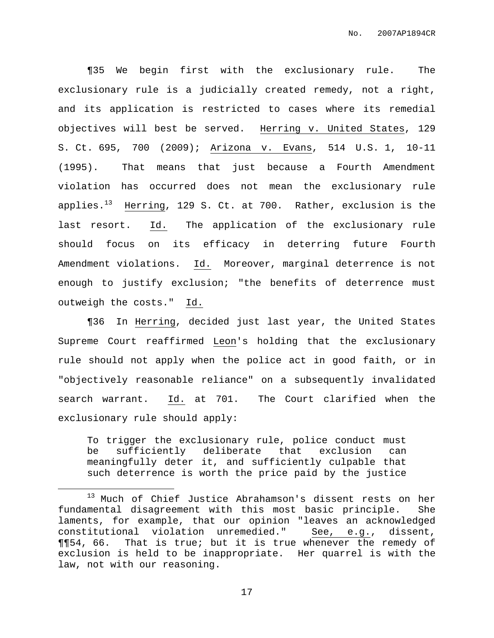¶35 We begin first with the exclusionary rule. The exclusionary rule is a judicially created remedy, not a right, and its application is restricted to cases where its remedial objectives will best be served. Herring v. United States, 129 S. Ct. 695, 700 (2009); Arizona v. Evans, 514 U.S. 1, 10-11 (1995). That means that just because a Fourth Amendment violation has occurred does not mean the exclusionary rule applies.<sup>13</sup> Herring, 129 S. Ct. at 700. Rather, exclusion is the last resort. Id. The application of the exclusionary rule should focus on its efficacy in deterring future Fourth Amendment violations. Id. Moreover, marginal deterrence is not enough to justify exclusion; "the benefits of deterrence must outweigh the costs." Id.

¶36 In Herring, decided just last year, the United States Supreme Court reaffirmed Leon's holding that the exclusionary rule should not apply when the police act in good faith, or in "objectively reasonable reliance" on a subsequently invalidated search warrant. Id. at 701. The Court clarified when the exclusionary rule should apply:

To trigger the exclusionary rule, police conduct must be sufficiently deliberate that exclusion can meaningfully deter it, and sufficiently culpable that such deterrence is worth the price paid by the justice

<sup>&</sup>lt;sup>13</sup> Much of Chief Justice Abrahamson's dissent rests on her fundamental disagreement with this most basic principle. She laments, for example, that our opinion "leaves an acknowledged constitutional violation unremedied." See, e.g., dissent, ¶¶54, 66. That is true; but it is true whenever the remedy of exclusion is held to be inappropriate. Her quarrel is with the law, not with our reasoning.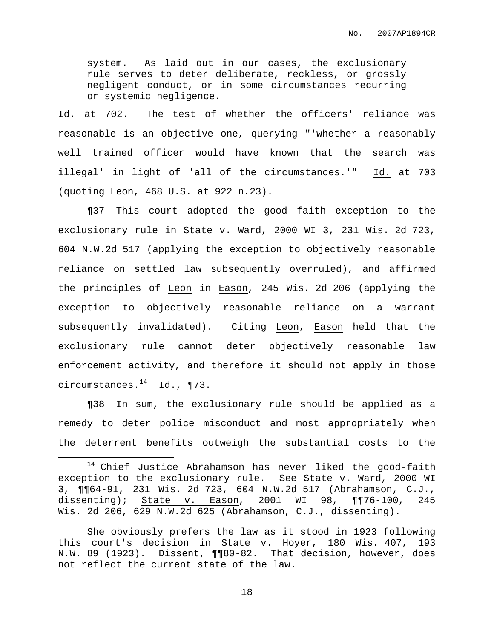system. As laid out in our cases, the exclusionary rule serves to deter deliberate, reckless, or grossly negligent conduct, or in some circumstances recurring or systemic negligence.

Id. at 702. The test of whether the officers' reliance was reasonable is an objective one, querying "'whether a reasonably well trained officer would have known that the search was illegal' in light of 'all of the circumstances.'" Id. at 703 (quoting Leon, 468 U.S. at 922 n.23).

¶37 This court adopted the good faith exception to the exclusionary rule in State v. Ward, 2000 WI 3, 231 Wis. 2d 723, 604 N.W.2d 517 (applying the exception to objectively reasonable reliance on settled law subsequently overruled), and affirmed the principles of Leon in Eason, 245 Wis. 2d 206 (applying the exception to objectively reasonable reliance on a warrant subsequently invalidated). Citing Leon, Eason held that the exclusionary rule cannot deter objectively reasonable law enforcement activity, and therefore it should not apply in those circumstances. <sup>14</sup> Id., ¶73.

¶38 In sum, the exclusionary rule should be applied as a remedy to deter police misconduct and most appropriately when the deterrent benefits outweigh the substantial costs to the

She obviously prefers the law as it stood in 1923 following this court's decision in State v. Hoyer, 180 Wis. 407, 193 N.W. 89 (1923). Dissent, ¶¶80-82. That decision, however, does not reflect the current state of the law.

<sup>14</sup> Chief Justice Abrahamson has never liked the good-faith exception to the exclusionary rule. See State v. Ward, 2000 WI 3, ¶¶64-91, 231 Wis. 2d 723, 604 N.W.2d 517 (Abrahamson, C.J., dissenting); State v. Eason, 2001 WI 98, ¶¶76-100, 245 Wis. 2d 206, 629 N.W.2d 625 (Abrahamson, C.J., dissenting).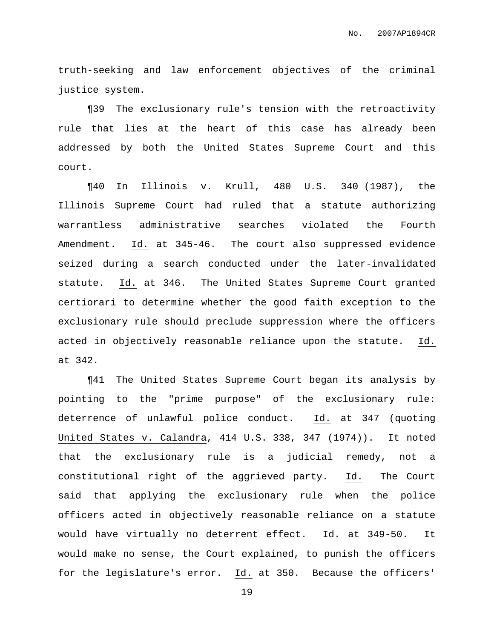truth-seeking and law enforcement objectives of the criminal justice system.

¶39 The exclusionary rule's tension with the retroactivity rule that lies at the heart of this case has already been addressed by both the United States Supreme Court and this court.

¶40 In Illinois v. Krull, 480 U.S. 340 (1987), the Illinois Supreme Court had ruled that a statute authorizing warrantless administrative searches violated the Fourth Amendment. Id. at 345-46. The court also suppressed evidence seized during a search conducted under the later-invalidated statute. Id. at 346. The United States Supreme Court granted certiorari to determine whether the good faith exception to the exclusionary rule should preclude suppression where the officers acted in objectively reasonable reliance upon the statute. Id. at 342.

¶41 The United States Supreme Court began its analysis by pointing to the "prime purpose" of the exclusionary rule: deterrence of unlawful police conduct. Id. at 347 (quoting United States v. Calandra, 414 U.S. 338, 347 (1974)). It noted that the exclusionary rule is a judicial remedy, not a constitutional right of the aggrieved party. Id. The Court said that applying the exclusionary rule when the police officers acted in objectively reasonable reliance on a statute would have virtually no deterrent effect. Id. at 349-50. It would make no sense, the Court explained, to punish the officers for the legislature's error. Id. at 350. Because the officers'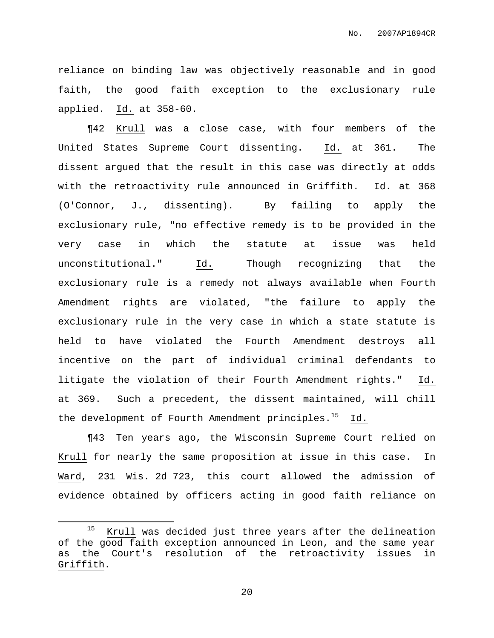reliance on binding law was objectively reasonable and in good faith, the good faith exception to the exclusionary rule applied. Id. at 358-60.

¶42 Krull was a close case, with four members of the United States Supreme Court dissenting. Id. at 361. The dissent argued that the result in this case was directly at odds with the retroactivity rule announced in Griffith. Id. at 368 (O'Connor, J., dissenting). By failing to apply the exclusionary rule, "no effective remedy is to be provided in the very case in which the statute at issue was held unconstitutional." Id. Though recognizing that the exclusionary rule is a remedy not always available when Fourth Amendment rights are violated, "the failure to apply the exclusionary rule in the very case in which a state statute is held to have violated the Fourth Amendment destroys all incentive on the part of individual criminal defendants to litigate the violation of their Fourth Amendment rights." Id. at 369. Such a precedent, the dissent maintained, will chill the development of Fourth Amendment principles.<sup>15</sup> Id.

¶43 Ten years ago, the Wisconsin Supreme Court relied on Krull for nearly the same proposition at issue in this case. In Ward, 231 Wis. 2d 723, this court allowed the admission of evidence obtained by officers acting in good faith reliance on

<sup>&</sup>lt;sup>15</sup> Krull was decided just three years after the delineation of the good faith exception announced in Leon, and the same year as the Court's resolution of the retroactivity issues in Griffith.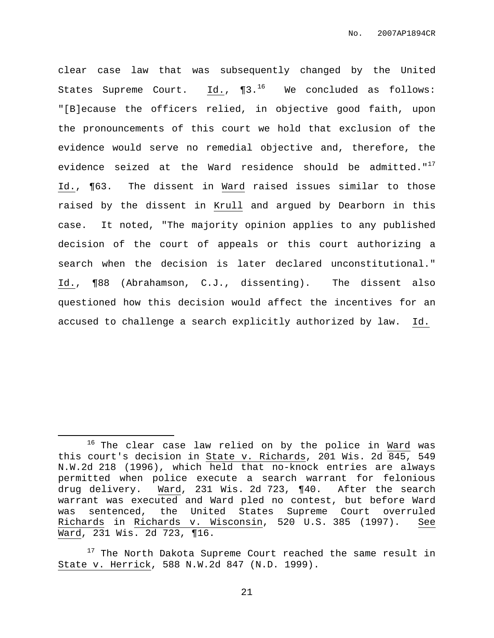clear case law that was subsequently changed by the United States Supreme Court. Id.,  $\P 3.^{16}$  We concluded as follows: "[B]ecause the officers relied, in objective good faith, upon the pronouncements of this court we hold that exclusion of the evidence would serve no remedial objective and, therefore, the evidence seized at the Ward residence should be admitted."<sup>17</sup> Id., ¶63. The dissent in Ward raised issues similar to those raised by the dissent in Krull and argued by Dearborn in this case. It noted, "The majority opinion applies to any published decision of the court of appeals or this court authorizing a search when the decision is later declared unconstitutional." Id., ¶88 (Abrahamson, C.J., dissenting). The dissent also questioned how this decision would affect the incentives for an accused to challenge a search explicitly authorized by law. Id.

<sup>&</sup>lt;sup>16</sup> The clear case law relied on by the police in Ward was this court's decision in State v. Richards, 201 Wis. 2d 845, 549 N.W.2d 218 (1996), which held that no-knock entries are always permitted when police execute a search warrant for felonious drug delivery. Ward, 231 Wis. 2d 723, ¶40. After the search warrant was executed and Ward pled no contest, but before Ward was sentenced, the United States Supreme Court overruled Richards in Richards v. Wisconsin, 520 U.S. 385 (1997). See Ward, 231 Wis. 2d 723, ¶16.

<sup>&</sup>lt;sup>17</sup> The North Dakota Supreme Court reached the same result in State v. Herrick, 588 N.W.2d 847 (N.D. 1999).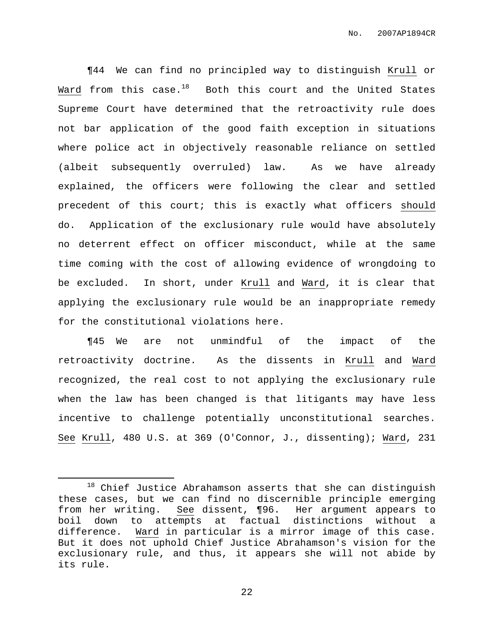¶44 We can find no principled way to distinguish Krull or Ward from this case. $^{18}$  Both this court and the United States Supreme Court have determined that the retroactivity rule does not bar application of the good faith exception in situations where police act in objectively reasonable reliance on settled (albeit subsequently overruled) law. As we have already explained, the officers were following the clear and settled precedent of this court; this is exactly what officers should do. Application of the exclusionary rule would have absolutely no deterrent effect on officer misconduct, while at the same time coming with the cost of allowing evidence of wrongdoing to be excluded. In short, under Krull and Ward, it is clear that applying the exclusionary rule would be an inappropriate remedy for the constitutional violations here.

¶45 We are not unmindful of the impact of the retroactivity doctrine. As the dissents in Krull and Ward recognized, the real cost to not applying the exclusionary rule when the law has been changed is that litigants may have less incentive to challenge potentially unconstitutional searches. See Krull, 480 U.S. at 369 (O'Connor, J., dissenting); Ward, 231

 $18$  Chief Justice Abrahamson asserts that she can distinguish these cases, but we can find no discernible principle emerging from her writing. See dissent, ¶96. Her argument appears to boil down to attempts at factual distinctions without a difference. Ward in particular is a mirror image of this case. But it does not uphold Chief Justice Abrahamson's vision for the exclusionary rule, and thus, it appears she will not abide by its rule.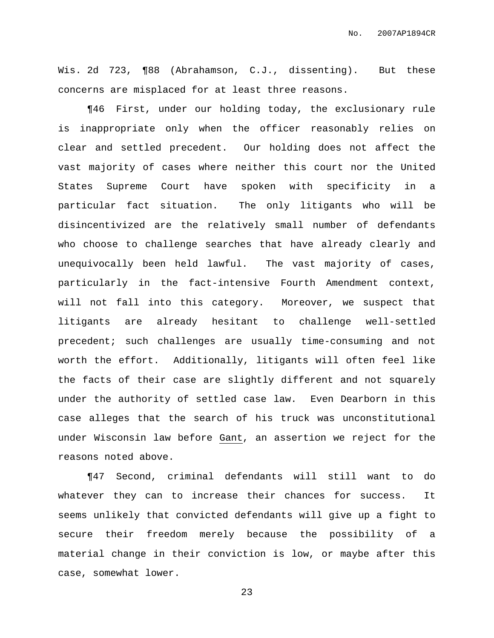Wis. 2d 723, ¶88 (Abrahamson, C.J., dissenting). But these concerns are misplaced for at least three reasons.

¶46 First, under our holding today, the exclusionary rule is inappropriate only when the officer reasonably relies on clear and settled precedent. Our holding does not affect the vast majority of cases where neither this court nor the United States Supreme Court have spoken with specificity in a particular fact situation. The only litigants who will be disincentivized are the relatively small number of defendants who choose to challenge searches that have already clearly and unequivocally been held lawful. The vast majority of cases, particularly in the fact-intensive Fourth Amendment context, will not fall into this category. Moreover, we suspect that litigants are already hesitant to challenge well-settled precedent; such challenges are usually time-consuming and not worth the effort. Additionally, litigants will often feel like the facts of their case are slightly different and not squarely under the authority of settled case law. Even Dearborn in this case alleges that the search of his truck was unconstitutional under Wisconsin law before Gant, an assertion we reject for the reasons noted above.

¶47 Second, criminal defendants will still want to do whatever they can to increase their chances for success. It seems unlikely that convicted defendants will give up a fight to secure their freedom merely because the possibility of a material change in their conviction is low, or maybe after this case, somewhat lower.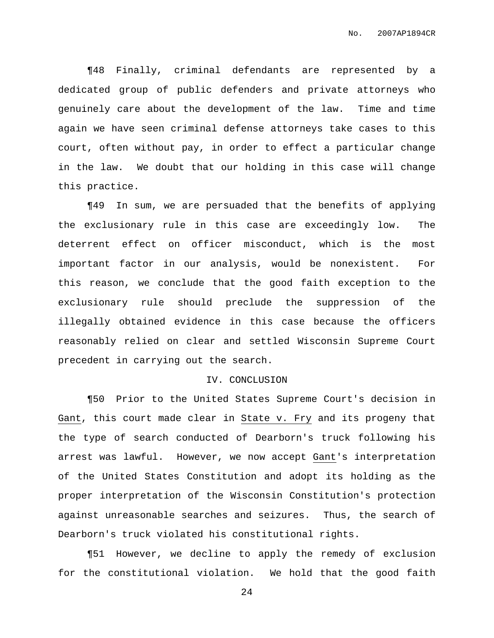¶48 Finally, criminal defendants are represented by a dedicated group of public defenders and private attorneys who genuinely care about the development of the law. Time and time again we have seen criminal defense attorneys take cases to this court, often without pay, in order to effect a particular change in the law. We doubt that our holding in this case will change this practice.

¶49 In sum, we are persuaded that the benefits of applying the exclusionary rule in this case are exceedingly low. The deterrent effect on officer misconduct, which is the most important factor in our analysis, would be nonexistent. For this reason, we conclude that the good faith exception to the exclusionary rule should preclude the suppression of the illegally obtained evidence in this case because the officers reasonably relied on clear and settled Wisconsin Supreme Court precedent in carrying out the search.

#### IV. CONCLUSION

¶50 Prior to the United States Supreme Court's decision in Gant, this court made clear in State v. Fry and its progeny that the type of search conducted of Dearborn's truck following his arrest was lawful. However, we now accept Gant's interpretation of the United States Constitution and adopt its holding as the proper interpretation of the Wisconsin Constitution's protection against unreasonable searches and seizures. Thus, the search of Dearborn's truck violated his constitutional rights.

¶51 However, we decline to apply the remedy of exclusion for the constitutional violation. We hold that the good faith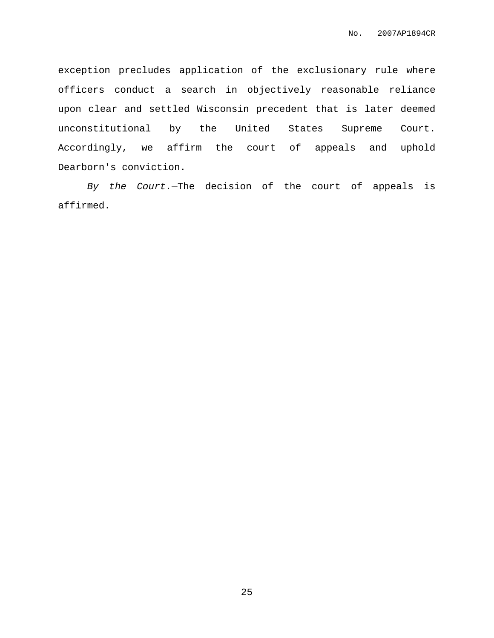exception precludes application of the exclusionary rule where officers conduct a search in objectively reasonable reliance upon clear and settled Wisconsin precedent that is later deemed unconstitutional by the United States Supreme Court. Accordingly, we affirm the court of appeals and uphold Dearborn's conviction.

By the Court.—The decision of the court of appeals is affirmed.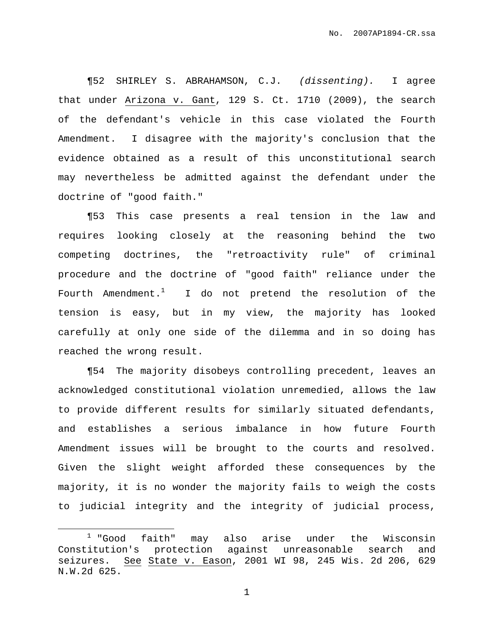¶52 SHIRLEY S. ABRAHAMSON, C.J. (dissenting). I agree that under Arizona v. Gant, 129 S. Ct. 1710 (2009), the search of the defendant's vehicle in this case violated the Fourth Amendment. I disagree with the majority's conclusion that the evidence obtained as a result of this unconstitutional search may nevertheless be admitted against the defendant under the doctrine of "good faith."

¶53 This case presents a real tension in the law and requires looking closely at the reasoning behind the two competing doctrines, the "retroactivity rule" of criminal procedure and the doctrine of "good faith" reliance under the Fourth Amendment. $^1$  I do not pretend the resolution of the tension is easy, but in my view, the majority has looked carefully at only one side of the dilemma and in so doing has reached the wrong result.

¶54 The majority disobeys controlling precedent, leaves an acknowledged constitutional violation unremedied, allows the law to provide different results for similarly situated defendants, and establishes a serious imbalance in how future Fourth Amendment issues will be brought to the courts and resolved. Given the slight weight afforded these consequences by the majority, it is no wonder the majority fails to weigh the costs to judicial integrity and the integrity of judicial process,

 $1$  "Good faith" may also arise under the Wisconsin Constitution's protection against unreasonable search and seizures. See State v. Eason, 2001 WI 98, 245 Wis. 2d 206, 629 N.W.2d 625.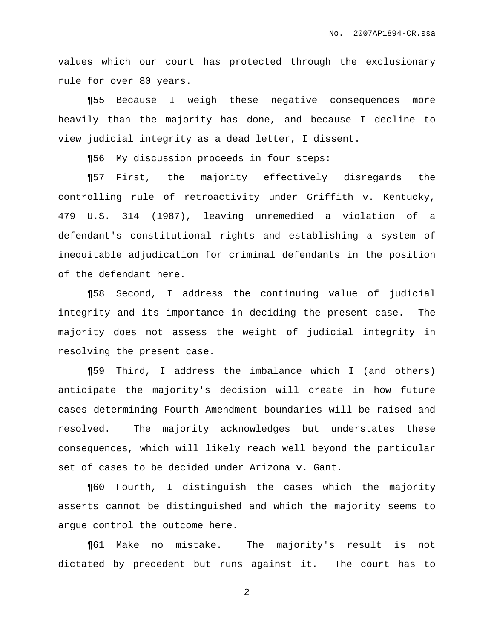values which our court has protected through the exclusionary rule for over 80 years.

¶55 Because I weigh these negative consequences more heavily than the majority has done, and because I decline to view judicial integrity as a dead letter, I dissent.

¶56 My discussion proceeds in four steps:

¶57 First, the majority effectively disregards the controlling rule of retroactivity under Griffith v. Kentucky, 479 U.S. 314 (1987), leaving unremedied a violation of a defendant's constitutional rights and establishing a system of inequitable adjudication for criminal defendants in the position of the defendant here.

¶58 Second, I address the continuing value of judicial integrity and its importance in deciding the present case. The majority does not assess the weight of judicial integrity in resolving the present case.

¶59 Third, I address the imbalance which I (and others) anticipate the majority's decision will create in how future cases determining Fourth Amendment boundaries will be raised and resolved. The majority acknowledges but understates these consequences, which will likely reach well beyond the particular set of cases to be decided under Arizona v. Gant.

¶60 Fourth, I distinguish the cases which the majority asserts cannot be distinguished and which the majority seems to argue control the outcome here.

¶61 Make no mistake. The majority's result is not dictated by precedent but runs against it. The court has to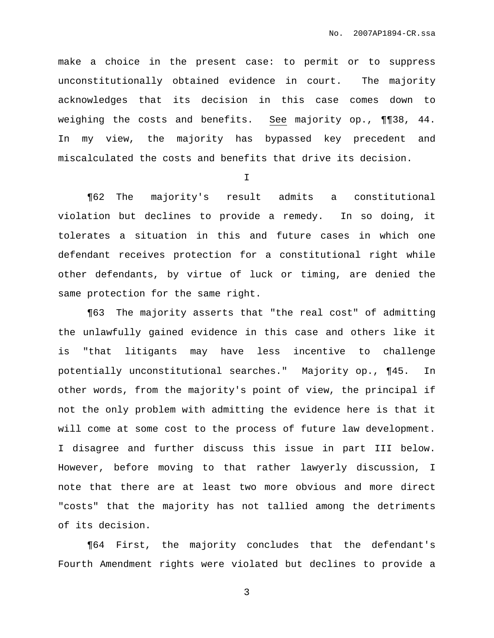make a choice in the present case: to permit or to suppress unconstitutionally obtained evidence in court. The majority acknowledges that its decision in this case comes down to weighing the costs and benefits. See majority op., ¶¶38, 44. In my view, the majority has bypassed key precedent and miscalculated the costs and benefits that drive its decision.

I

¶62 The majority's result admits a constitutional violation but declines to provide a remedy. In so doing, it tolerates a situation in this and future cases in which one defendant receives protection for a constitutional right while other defendants, by virtue of luck or timing, are denied the same protection for the same right.

¶63 The majority asserts that "the real cost" of admitting the unlawfully gained evidence in this case and others like it is "that litigants may have less incentive to challenge potentially unconstitutional searches." Majority op., ¶45. In other words, from the majority's point of view, the principal if not the only problem with admitting the evidence here is that it will come at some cost to the process of future law development. I disagree and further discuss this issue in part III below. However, before moving to that rather lawyerly discussion, I note that there are at least two more obvious and more direct "costs" that the majority has not tallied among the detriments of its decision.

¶64 First, the majority concludes that the defendant's Fourth Amendment rights were violated but declines to provide a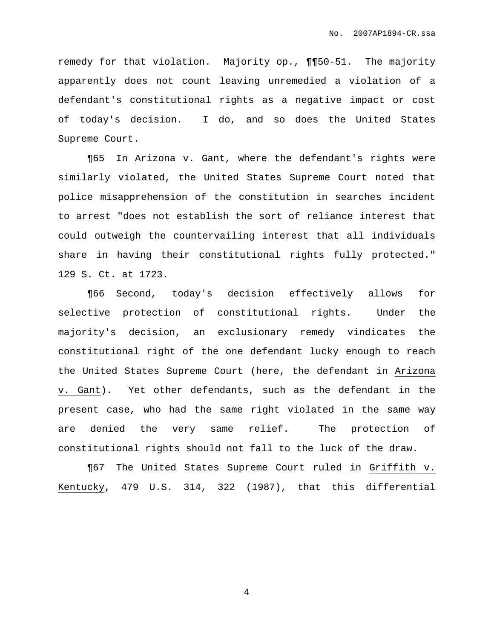remedy for that violation. Majority op., ¶¶50-51. The majority apparently does not count leaving unremedied a violation of a defendant's constitutional rights as a negative impact or cost of today's decision. I do, and so does the United States Supreme Court.

¶65 In Arizona v. Gant, where the defendant's rights were similarly violated, the United States Supreme Court noted that police misapprehension of the constitution in searches incident to arrest "does not establish the sort of reliance interest that could outweigh the countervailing interest that all individuals share in having their constitutional rights fully protected." 129 S. Ct. at 1723.

¶66 Second, today's decision effectively allows for selective protection of constitutional rights. Under the majority's decision, an exclusionary remedy vindicates the constitutional right of the one defendant lucky enough to reach the United States Supreme Court (here, the defendant in Arizona v. Gant). Yet other defendants, such as the defendant in the present case, who had the same right violated in the same way are denied the very same relief. The protection of constitutional rights should not fall to the luck of the draw.

¶67 The United States Supreme Court ruled in Griffith v. Kentucky, 479 U.S. 314, 322 (1987), that this differential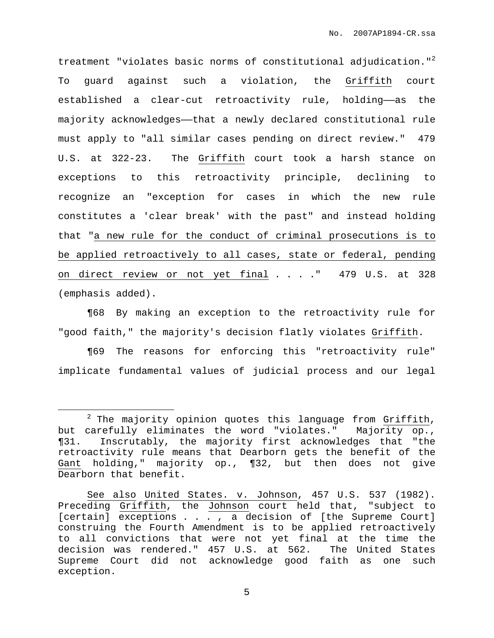treatment "violates basic norms of constitutional adjudication."<sup>2</sup> To guard against such a violation, the Griffith court established a clear-cut retroactivity rule, holding—as the majority acknowledges——that a newly declared constitutional rule must apply to "all similar cases pending on direct review." 479 U.S. at 322-23. The Griffith court took a harsh stance on exceptions to this retroactivity principle, declining to recognize an "exception for cases in which the new rule constitutes a 'clear break' with the past" and instead holding that "a new rule for the conduct of criminal prosecutions is to be applied retroactively to all cases, state or federal, pending on direct review or not yet final . . . ." 479 U.S. at 328 (emphasis added).

¶68 By making an exception to the retroactivity rule for "good faith," the majority's decision flatly violates Griffith.

¶69 The reasons for enforcing this "retroactivity rule" implicate fundamental values of judicial process and our legal

 $2$  The majority opinion quotes this language from Griffith, but carefully eliminates the word "violates." Majority op., ¶31. Inscrutably, the majority first acknowledges that "the retroactivity rule means that Dearborn gets the benefit of the Gant holding," majority op., ¶32, but then does not give Dearborn that benefit.

See also United States. v. Johnson, 457 U.S. 537 (1982). Preceding Griffith, the Johnson court held that, "subject to [certain] exceptions . . . , a decision of [the Supreme Court] construing the Fourth Amendment is to be applied retroactively to all convictions that were not yet final at the time the decision was rendered." 457 U.S. at 562. The United States Supreme Court did not acknowledge good faith as one such exception.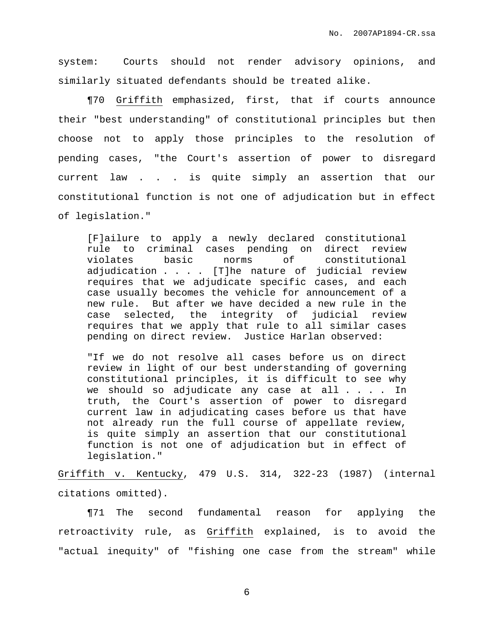system: Courts should not render advisory opinions, and similarly situated defendants should be treated alike.

¶70 Griffith emphasized, first, that if courts announce their "best understanding" of constitutional principles but then choose not to apply those principles to the resolution of pending cases, "the Court's assertion of power to disregard current law . . . is quite simply an assertion that our constitutional function is not one of adjudication but in effect of legislation."

[F]ailure to apply a newly declared constitutional rule to criminal cases pending on direct review violates basic norms of constitutional adjudication . . . . [T]he nature of judicial review requires that we adjudicate specific cases, and each case usually becomes the vehicle for announcement of a new rule. But after we have decided a new rule in the case selected, the integrity of judicial review requires that we apply that rule to all similar cases pending on direct review. Justice Harlan observed:

"If we do not resolve all cases before us on direct review in light of our best understanding of governing constitutional principles, it is difficult to see why we should so adjudicate any case at all . . . . In truth, the Court's assertion of power to disregard current law in adjudicating cases before us that have not already run the full course of appellate review, is quite simply an assertion that our constitutional function is not one of adjudication but in effect of legislation."

Griffith v. Kentucky, 479 U.S. 314, 322-23 (1987) (internal citations omitted).

¶71 The second fundamental reason for applying the retroactivity rule, as Griffith explained, is to avoid the "actual inequity" of "fishing one case from the stream" while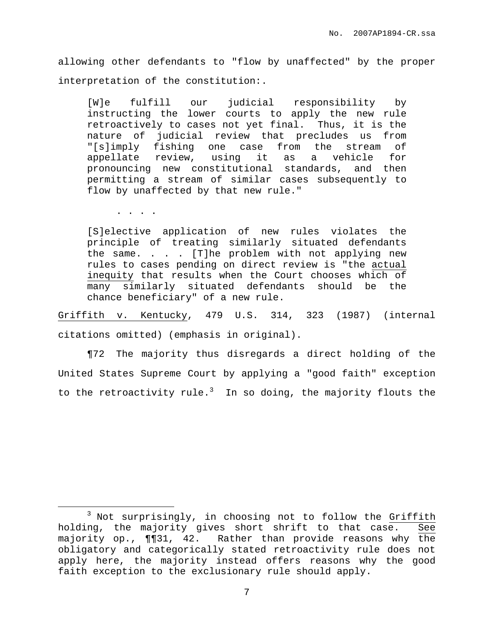allowing other defendants to "flow by unaffected" by the proper interpretation of the constitution:.

[W]e fulfill our judicial responsibility by instructing the lower courts to apply the new rule retroactively to cases not yet final. Thus, it is the nature of judicial review that precludes us from "[s]imply fishing one case from the stream of appellate review, using it as a vehicle for pronouncing new constitutional standards, and then permitting a stream of similar cases subsequently to flow by unaffected by that new rule."

. . . .

[S]elective application of new rules violates the principle of treating similarly situated defendants the same. . . . [T]he problem with not applying new rules to cases pending on direct review is "the actual inequity that results when the Court chooses which of many similarly situated defendants should be the chance beneficiary" of a new rule.

Griffith v. Kentucky, 479 U.S. 314, 323 (1987) (internal citations omitted) (emphasis in original).

¶72 The majority thus disregards a direct holding of the United States Supreme Court by applying a "good faith" exception to the retroactivity rule.<sup>3</sup> In so doing, the majority flouts the

<sup>&</sup>lt;sup>3</sup> Not surprisingly, in choosing not to follow the Griffith holding, the majority gives short shrift to that case. See majority op., ¶¶31, 42. Rather than provide reasons why the obligatory and categorically stated retroactivity rule does not apply here, the majority instead offers reasons why the good faith exception to the exclusionary rule should apply.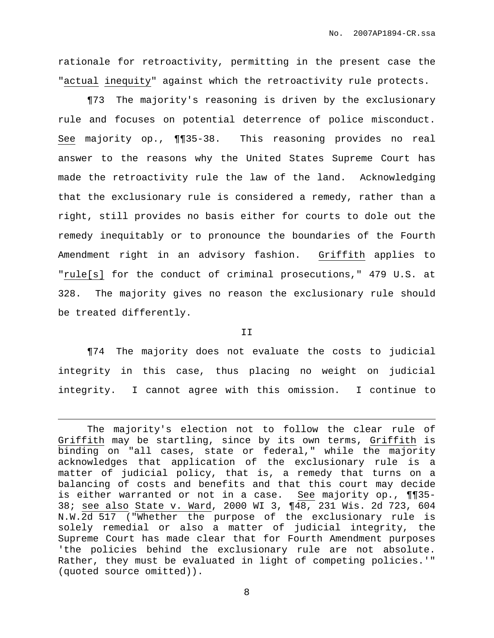rationale for retroactivity, permitting in the present case the "actual inequity" against which the retroactivity rule protects.

¶73 The majority's reasoning is driven by the exclusionary rule and focuses on potential deterrence of police misconduct. See majority op., ¶¶35-38. This reasoning provides no real answer to the reasons why the United States Supreme Court has made the retroactivity rule the law of the land. Acknowledging that the exclusionary rule is considered a remedy, rather than a right, still provides no basis either for courts to dole out the remedy inequitably or to pronounce the boundaries of the Fourth Amendment right in an advisory fashion. Griffith applies to "rule[s] for the conduct of criminal prosecutions," 479 U.S. at 328. The majority gives no reason the exclusionary rule should be treated differently.

II

¶74 The majority does not evaluate the costs to judicial integrity in this case, thus placing no weight on judicial integrity. I cannot agree with this omission. I continue to

The majority's election not to follow the clear rule of Griffith may be startling, since by its own terms, Griffith is binding on "all cases, state or federal," while the majority acknowledges that application of the exclusionary rule is a matter of judicial policy, that is, a remedy that turns on a balancing of costs and benefits and that this court may decide is either warranted or not in a case. See majority op., ¶¶35- 38; see also State v. Ward, 2000 WI 3, ¶48, 231 Wis. 2d 723, 604 N.W.2d 517 ("Whether the purpose of the exclusionary rule is solely remedial or also a matter of judicial integrity, the Supreme Court has made clear that for Fourth Amendment purposes 'the policies behind the exclusionary rule are not absolute. Rather, they must be evaluated in light of competing policies.'" (quoted source omitted)).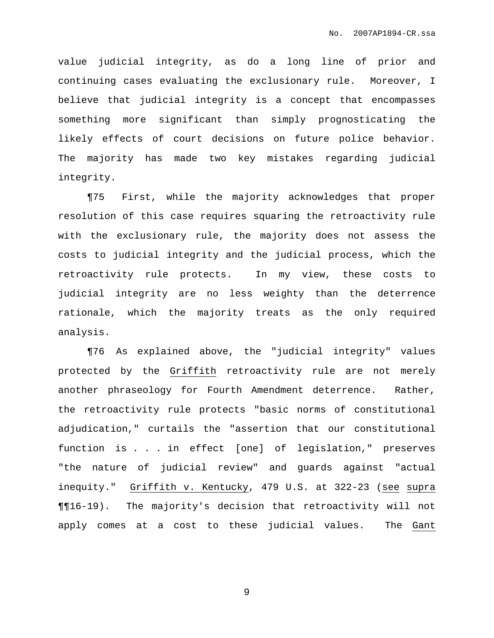value judicial integrity, as do a long line of prior and continuing cases evaluating the exclusionary rule. Moreover, I believe that judicial integrity is a concept that encompasses something more significant than simply prognosticating the likely effects of court decisions on future police behavior. The majority has made two key mistakes regarding judicial integrity.

¶75 First, while the majority acknowledges that proper resolution of this case requires squaring the retroactivity rule with the exclusionary rule, the majority does not assess the costs to judicial integrity and the judicial process, which the retroactivity rule protects. In my view, these costs to judicial integrity are no less weighty than the deterrence rationale, which the majority treats as the only required analysis.

¶76 As explained above, the "judicial integrity" values protected by the Griffith retroactivity rule are not merely another phraseology for Fourth Amendment deterrence. Rather, the retroactivity rule protects "basic norms of constitutional adjudication," curtails the "assertion that our constitutional function is . . . in effect [one] of legislation," preserves "the nature of judicial review" and guards against "actual inequity." Griffith v. Kentucky, 479 U.S. at 322-23 (see supra ¶¶16-19). The majority's decision that retroactivity will not apply comes at a cost to these judicial values. The Gant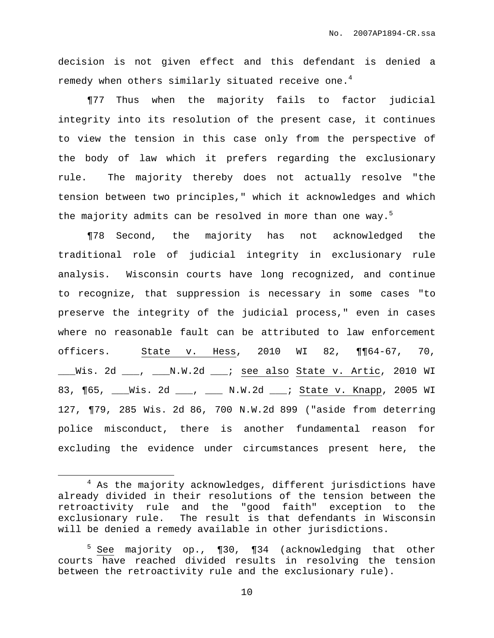decision is not given effect and this defendant is denied a remedy when others similarly situated receive one. $^4$ 

¶77 Thus when the majority fails to factor judicial integrity into its resolution of the present case, it continues to view the tension in this case only from the perspective of the body of law which it prefers regarding the exclusionary rule. The majority thereby does not actually resolve "the tension between two principles," which it acknowledges and which the majority admits can be resolved in more than one way.<sup>5</sup>

¶78 Second, the majority has not acknowledged the traditional role of judicial integrity in exclusionary rule analysis. Wisconsin courts have long recognized, and continue to recognize, that suppression is necessary in some cases "to preserve the integrity of the judicial process," even in cases where no reasonable fault can be attributed to law enforcement officers. State v. Hess, 2010 WI 82, ¶¶64-67, 70, \_\_\_Wis. 2d \_\_\_, \_\_\_N.W.2d \_\_\_; see also State v. Artic, 2010 WI 83, ¶65, \_\_\_Wis. 2d \_\_\_, \_\_\_ N.W.2d \_\_\_; State v. Knapp, 2005 WI 127, ¶79, 285 Wis. 2d 86, 700 N.W.2d 899 ("aside from deterring police misconduct, there is another fundamental reason for excluding the evidence under circumstances present here, the

 $4$  As the majority acknowledges, different jurisdictions have already divided in their resolutions of the tension between the retroactivity rule and the "good faith" exception to the exclusionary rule. The result is that defendants in Wisconsin will be denied a remedy available in other jurisdictions.

<sup>5</sup> See majority op., ¶30, ¶34 (acknowledging that other courts have reached divided results in resolving the tension between the retroactivity rule and the exclusionary rule).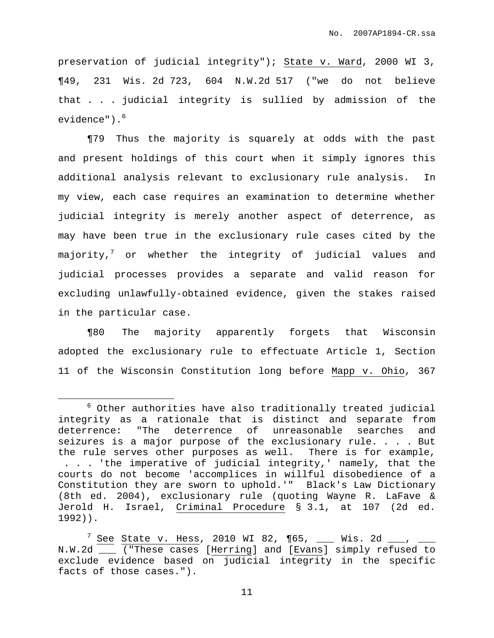preservation of judicial integrity"); State v. Ward, 2000 WI 3, ¶49, 231 Wis. 2d 723, 604 N.W.2d 517 ("we do not believe that . . . judicial integrity is sullied by admission of the evidence"). 6

¶79 Thus the majority is squarely at odds with the past and present holdings of this court when it simply ignores this additional analysis relevant to exclusionary rule analysis. In my view, each case requires an examination to determine whether judicial integrity is merely another aspect of deterrence, as may have been true in the exclusionary rule cases cited by the majority, $^7$  or whether the integrity of judicial values and judicial processes provides a separate and valid reason for excluding unlawfully-obtained evidence, given the stakes raised in the particular case.

¶80 The majority apparently forgets that Wisconsin adopted the exclusionary rule to effectuate Article 1, Section 11 of the Wisconsin Constitution long before Mapp v. Ohio, 367

 $6$  Other authorities have also traditionally treated judicial integrity as a rationale that is distinct and separate from deterrence: "The deterrence of unreasonable searches and seizures is a major purpose of the exclusionary rule. . . . But the rule serves other purposes as well. There is for example, . . . 'the imperative of judicial integrity,' namely, that the courts do not become 'accomplices in willful disobedience of a Constitution they are sworn to uphold.'" Black's Law Dictionary (8th ed. 2004), exclusionary rule (quoting Wayne R. LaFave & Jerold H. Israel, Criminal Procedure § 3.1, at 107 (2d ed. 1992)).

 $7 \text{ See}$  State v. Hess, 2010 WI 82, ¶65, \_\_\_ Wis. 2d \_\_\_, \_\_\_ N.W.2d \_\_\_ ("These cases [Herring] and [Evans] simply refused to exclude evidence based on judicial integrity in the specific facts of those cases.").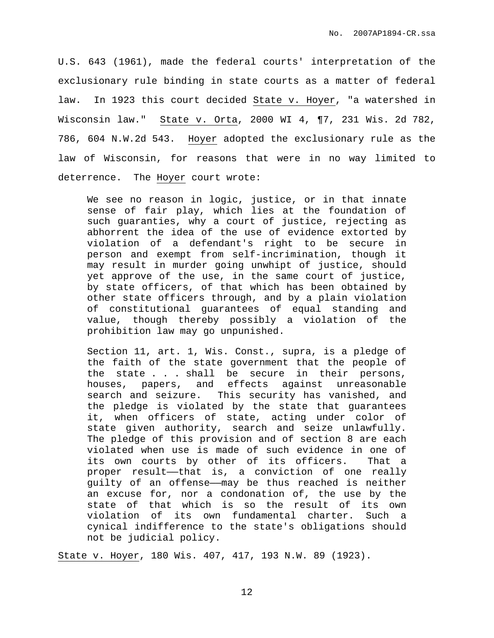U.S. 643 (1961), made the federal courts' interpretation of the exclusionary rule binding in state courts as a matter of federal law. In 1923 this court decided State v. Hoyer, "a watershed in Wisconsin law." State v. Orta, 2000 WI 4, ¶7, 231 Wis. 2d 782, 786, 604 N.W.2d 543. Hoyer adopted the exclusionary rule as the law of Wisconsin, for reasons that were in no way limited to deterrence. The Hoyer court wrote:

We see no reason in logic, justice, or in that innate sense of fair play, which lies at the foundation of such guaranties, why a court of justice, rejecting as abhorrent the idea of the use of evidence extorted by violation of a defendant's right to be secure in person and exempt from self-incrimination, though it may result in murder going unwhipt of justice, should yet approve of the use, in the same court of justice, by state officers, of that which has been obtained by other state officers through, and by a plain violation of constitutional guarantees of equal standing and value, though thereby possibly a violation of the prohibition law may go unpunished.

Section 11, art. 1, Wis. Const., supra, is a pledge of the faith of the state government that the people of the state . . . shall be secure in their persons, houses, papers, and effects against unreasonable search and seizure. This security has vanished, and the pledge is violated by the state that guarantees it, when officers of state, acting under color of state given authority, search and seize unlawfully. The pledge of this provision and of section 8 are each violated when use is made of such evidence in one of its own courts by other of its officers. That a proper result—that is, a conviction of one really guilty of an offense——may be thus reached is neither an excuse for, nor a condonation of, the use by the state of that which is so the result of its own violation of its own fundamental charter. Such a cynical indifference to the state's obligations should not be judicial policy.

State v. Hoyer, 180 Wis. 407, 417, 193 N.W. 89 (1923).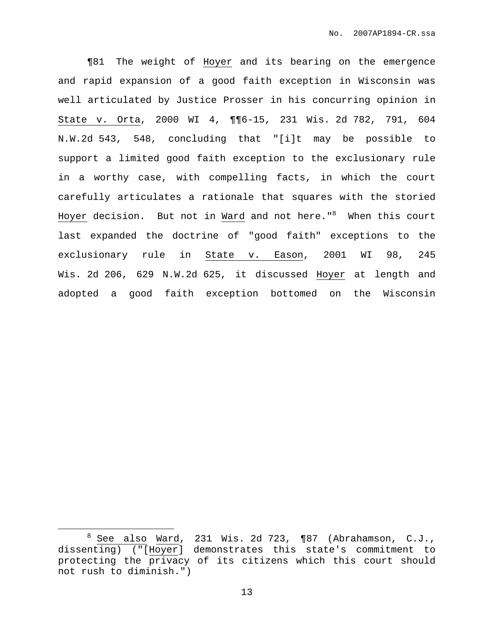¶81 The weight of Hoyer and its bearing on the emergence and rapid expansion of a good faith exception in Wisconsin was well articulated by Justice Prosser in his concurring opinion in State v. Orta, 2000 WI 4, ¶¶6-15, 231 Wis. 2d 782, 791, 604 N.W.2d 543, 548, concluding that "[i]t may be possible to support a limited good faith exception to the exclusionary rule in a worthy case, with compelling facts, in which the court carefully articulates a rationale that squares with the storied Hoyer decision. But not in Ward and not here." <sup>8</sup> When this court last expanded the doctrine of "good faith" exceptions to the exclusionary rule in State v. Eason, 2001 WI 98, 245 Wis. 2d 206, 629 N.W.2d 625, it discussed Hoyer at length and adopted a good faith exception bottomed on the Wisconsin

 $8$  See also Ward, 231 Wis. 2d 723,  $\P87$  (Abrahamson, C.J., dissenting) ("[Hoyer] demonstrates this state's commitment to protecting the privacy of its citizens which this court should not rush to diminish.")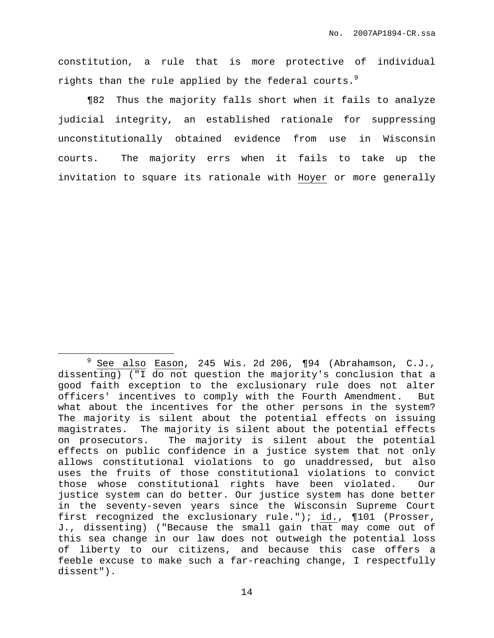constitution, a rule that is more protective of individual rights than the rule applied by the federal courts. $^9$ 

¶82 Thus the majority falls short when it fails to analyze judicial integrity, an established rationale for suppressing unconstitutionally obtained evidence from use in Wisconsin courts. The majority errs when it fails to take up the invitation to square its rationale with Hoyer or more generally

 $9$  See also Eason, 245 Wis. 2d 206,  $\P 94$  (Abrahamson, C.J., dissenting) ("I do not question the majority's conclusion that a good faith exception to the exclusionary rule does not alter officers' incentives to comply with the Fourth Amendment. But what about the incentives for the other persons in the system? The majority is silent about the potential effects on issuing magistrates. The majority is silent about the potential effects on prosecutors. The majority is silent about the potential effects on public confidence in a justice system that not only allows constitutional violations to go unaddressed, but also uses the fruits of those constitutional violations to convict those whose constitutional rights have been violated. Our justice system can do better. Our justice system has done better in the seventy-seven years since the Wisconsin Supreme Court first recognized the exclusionary rule."); id., ¶101 (Prosser, J., dissenting) ("Because the small gain that may come out of this sea change in our law does not outweigh the potential loss of liberty to our citizens, and because this case offers a feeble excuse to make such a far-reaching change, I respectfully dissent").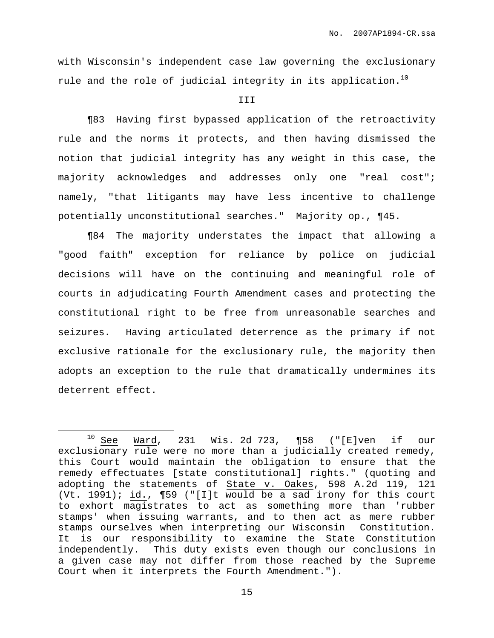with Wisconsin's independent case law governing the exclusionary rule and the role of judicial integrity in its application. $^{10}$ 

## **III**

¶83 Having first bypassed application of the retroactivity rule and the norms it protects, and then having dismissed the notion that judicial integrity has any weight in this case, the majority acknowledges and addresses only one "real cost"; namely, "that litigants may have less incentive to challenge potentially unconstitutional searches." Majority op., ¶45.

¶84 The majority understates the impact that allowing a "good faith" exception for reliance by police on judicial decisions will have on the continuing and meaningful role of courts in adjudicating Fourth Amendment cases and protecting the constitutional right to be free from unreasonable searches and seizures. Having articulated deterrence as the primary if not exclusive rationale for the exclusionary rule, the majority then adopts an exception to the rule that dramatically undermines its deterrent effect.

 $10$  See Ward, 231 Wis. 2d 723, ¶58 ("[E]ven if our exclusionary rule were no more than a judicially created remedy, this Court would maintain the obligation to ensure that the remedy effectuates [state constitutional] rights." (quoting and adopting the statements of State v. Oakes, 598 A.2d 119, 121 (Vt. 1991); id., ¶59 ("[I]t would be a sad irony for this court to exhort magistrates to act as something more than 'rubber stamps' when issuing warrants, and to then act as mere rubber stamps ourselves when interpreting our Wisconsin Constitution. It is our responsibility to examine the State Constitution independently. This duty exists even though our conclusions in a given case may not differ from those reached by the Supreme Court when it interprets the Fourth Amendment.").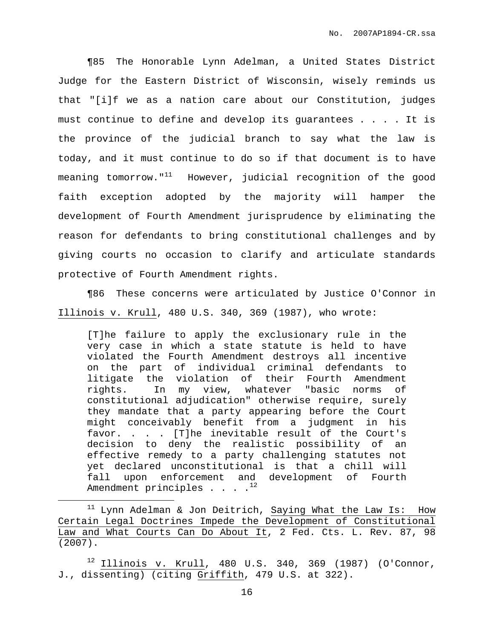¶85 The Honorable Lynn Adelman, a United States District Judge for the Eastern District of Wisconsin, wisely reminds us that "[i]f we as a nation care about our Constitution, judges must continue to define and develop its guarantees . . . . It is the province of the judicial branch to say what the law is today, and it must continue to do so if that document is to have meaning tomorrow." $^{11}$  However, judicial recognition of the good faith exception adopted by the majority will hamper the development of Fourth Amendment jurisprudence by eliminating the reason for defendants to bring constitutional challenges and by giving courts no occasion to clarify and articulate standards protective of Fourth Amendment rights.

¶86 These concerns were articulated by Justice O'Connor in Illinois v. Krull, 480 U.S. 340, 369 (1987), who wrote:

[T]he failure to apply the exclusionary rule in the very case in which a state statute is held to have violated the Fourth Amendment destroys all incentive on the part of individual criminal defendants to litigate the violation of their Fourth Amendment rights. In my view, whatever "basic norms of constitutional adjudication" otherwise require, surely they mandate that a party appearing before the Court might conceivably benefit from a judgment in his favor. . . . [T]he inevitable result of the Court's decision to deny the realistic possibility of an effective remedy to a party challenging statutes not yet declared unconstitutional is that a chill will fall upon enforcement and development of Fourth Amendment principles . . .  $\cdot$ 

 $11$  Lynn Adelman & Jon Deitrich, Saying What the Law Is: How Certain Legal Doctrines Impede the Development of Constitutional Law and What Courts Can Do About It, 2 Fed. Cts. L. Rev. 87, 98 (2007).

 $12$  Illinois v. Krull, 480 U.S. 340, 369 (1987) (O'Connor, J., dissenting) (citing Griffith, 479 U.S. at 322).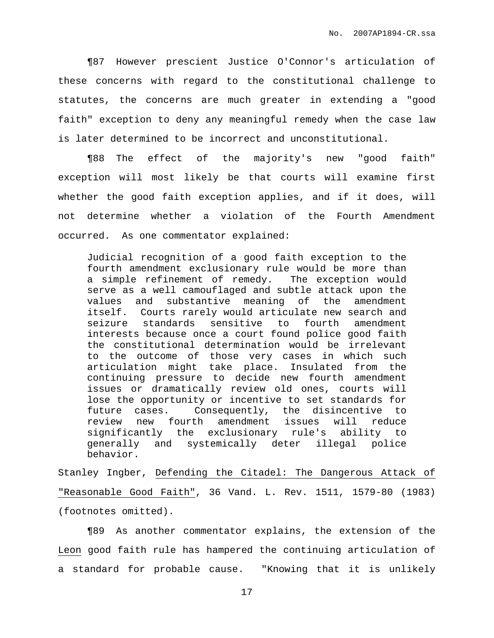¶87 However prescient Justice O'Connor's articulation of these concerns with regard to the constitutional challenge to statutes, the concerns are much greater in extending a "good faith" exception to deny any meaningful remedy when the case law is later determined to be incorrect and unconstitutional.

¶88 The effect of the majority's new "good faith" exception will most likely be that courts will examine first whether the good faith exception applies, and if it does, will not determine whether a violation of the Fourth Amendment occurred. As one commentator explained:

Judicial recognition of a good faith exception to the fourth amendment exclusionary rule would be more than a simple refinement of remedy. The exception would serve as a well camouflaged and subtle attack upon the values and substantive meaning of the amendment itself. Courts rarely would articulate new search and seizure standards sensitive to fourth amendment interests because once a court found police good faith the constitutional determination would be irrelevant to the outcome of those very cases in which such articulation might take place. Insulated from the continuing pressure to decide new fourth amendment issues or dramatically review old ones, courts will lose the opportunity or incentive to set standards for future cases. Consequently, the disincentive to review new fourth amendment issues will reduce significantly the exclusionary rule's ability to generally and systemically deter illegal police behavior.

Stanley Ingber, Defending the Citadel: The Dangerous Attack of "Reasonable Good Faith", 36 Vand. L. Rev. 1511, 1579-80 (1983) (footnotes omitted).

¶89 As another commentator explains, the extension of the Leon good faith rule has hampered the continuing articulation of a standard for probable cause. "Knowing that it is unlikely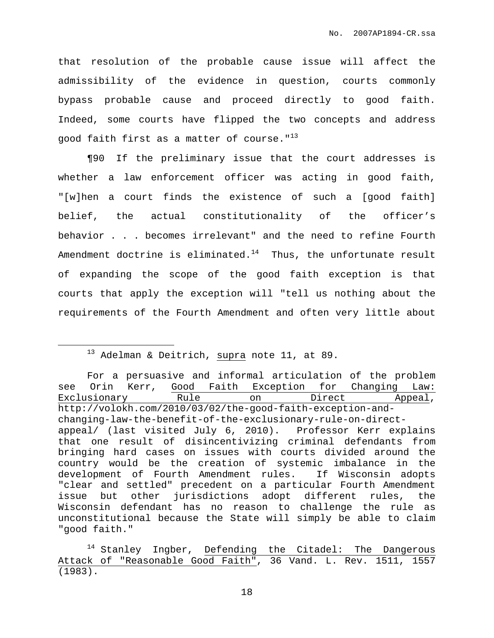that resolution of the probable cause issue will affect the admissibility of the evidence in question, courts commonly bypass probable cause and proceed directly to good faith. Indeed, some courts have flipped the two concepts and address good faith first as a matter of course."<sup>13</sup>

¶90 If the preliminary issue that the court addresses is whether a law enforcement officer was acting in good faith, "[w]hen a court finds the existence of such a [good faith] belief, the actual constitutionality of the officer's behavior . . . becomes irrelevant" and the need to refine Fourth Amendment doctrine is eliminated. $^{14}$  Thus, the unfortunate result of expanding the scope of the good faith exception is that courts that apply the exception will "tell us nothing about the requirements of the Fourth Amendment and often very little about

 $13$  Adelman & Deitrich, supra note 11, at 89.

For a persuasive and informal articulation of the problem see Orin Kerr, Good Faith Exception for Changing Law: Exclusionary Rule on Direct Appeal, http://volokh.com/2010/03/02/the-good-faith-exception-andchanging-law-the-benefit-of-the-exclusionary-rule-on-directappeal/ (last visited July 6, 2010). Professor Kerr explains that one result of disincentivizing criminal defendants from bringing hard cases on issues with courts divided around the country would be the creation of systemic imbalance in the development of Fourth Amendment rules. If Wisconsin adopts "clear and settled" precedent on a particular Fourth Amendment issue but other jurisdictions adopt different rules, the Wisconsin defendant has no reason to challenge the rule as unconstitutional because the State will simply be able to claim "good faith."

<sup>14</sup> Stanley Ingber, Defending the Citadel: The Dangerous Attack of "Reasonable Good Faith", 36 Vand. L. Rev. 1511, 1557 (1983).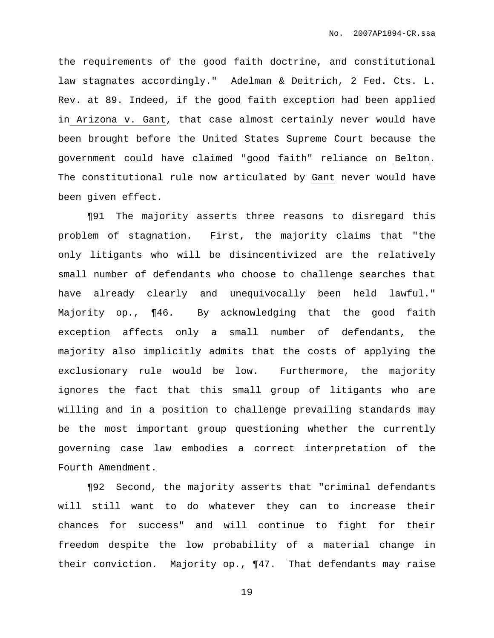the requirements of the good faith doctrine, and constitutional law stagnates accordingly." Adelman & Deitrich, 2 Fed. Cts. L. Rev. at 89. Indeed, if the good faith exception had been applied in Arizona v. Gant, that case almost certainly never would have been brought before the United States Supreme Court because the government could have claimed "good faith" reliance on Belton. The constitutional rule now articulated by Gant never would have been given effect.

¶91 The majority asserts three reasons to disregard this problem of stagnation. First, the majority claims that "the only litigants who will be disincentivized are the relatively small number of defendants who choose to challenge searches that have already clearly and unequivocally been held lawful." Majority op., ¶46. By acknowledging that the good faith exception affects only a small number of defendants, the majority also implicitly admits that the costs of applying the exclusionary rule would be low. Furthermore, the majority ignores the fact that this small group of litigants who are willing and in a position to challenge prevailing standards may be the most important group questioning whether the currently governing case law embodies a correct interpretation of the Fourth Amendment.

¶92 Second, the majority asserts that "criminal defendants will still want to do whatever they can to increase their chances for success" and will continue to fight for their freedom despite the low probability of a material change in their conviction. Majority op., ¶47. That defendants may raise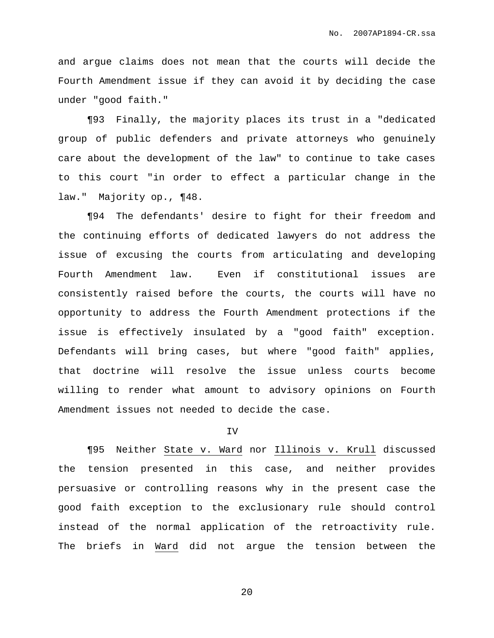and argue claims does not mean that the courts will decide the Fourth Amendment issue if they can avoid it by deciding the case under "good faith."

¶93 Finally, the majority places its trust in a "dedicated group of public defenders and private attorneys who genuinely care about the development of the law" to continue to take cases to this court "in order to effect a particular change in the law." Majority op., ¶48.

¶94 The defendants' desire to fight for their freedom and the continuing efforts of dedicated lawyers do not address the issue of excusing the courts from articulating and developing Fourth Amendment law. Even if constitutional issues are consistently raised before the courts, the courts will have no opportunity to address the Fourth Amendment protections if the issue is effectively insulated by a "good faith" exception. Defendants will bring cases, but where "good faith" applies, that doctrine will resolve the issue unless courts become willing to render what amount to advisory opinions on Fourth Amendment issues not needed to decide the case.

#### IV

¶95 Neither State v. Ward nor Illinois v. Krull discussed the tension presented in this case, and neither provides persuasive or controlling reasons why in the present case the good faith exception to the exclusionary rule should control instead of the normal application of the retroactivity rule. The briefs in Ward did not argue the tension between the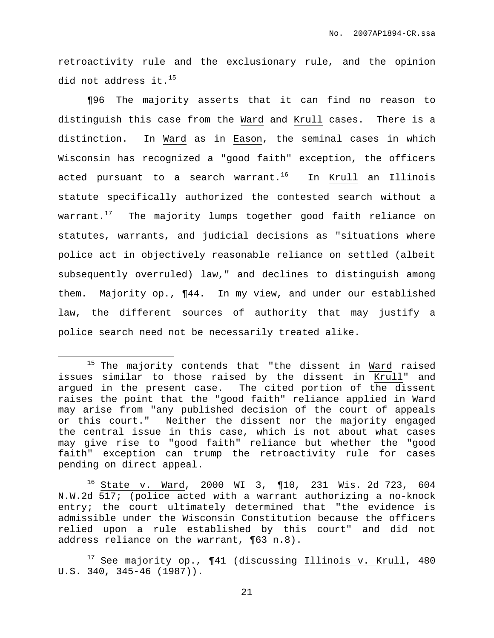retroactivity rule and the exclusionary rule, and the opinion did not address it. $^{15}$ 

¶96 The majority asserts that it can find no reason to distinguish this case from the Ward and Krull cases. There is a distinction. In Ward as in Eason, the seminal cases in which Wisconsin has recognized a "good faith" exception, the officers acted pursuant to a search warrant.<sup>16</sup> In Krull an Illinois statute specifically authorized the contested search without a warrant. $^{17}$  The majority lumps together good faith reliance on statutes, warrants, and judicial decisions as "situations where police act in objectively reasonable reliance on settled (albeit subsequently overruled) law," and declines to distinguish among them. Majority op., ¶44. In my view, and under our established law, the different sources of authority that may justify a police search need not be necessarily treated alike.

 $15$  The majority contends that "the dissent in  $\underline{Ward}$  raised issues similar to those raised by the dissent in Krull" and argued in the present case. The cited portion of the dissent raises the point that the "good faith" reliance applied in Ward may arise from "any published decision of the court of appeals or this court." Neither the dissent nor the majority engaged the central issue in this case, which is not about what cases may give rise to "good faith" reliance but whether the "good faith" exception can trump the retroactivity rule for cases pending on direct appeal.

<sup>16</sup> State v. Ward, 2000 WI 3, ¶10, 231 Wis. 2d 723, 604 N.W.2d 517; (police acted with a warrant authorizing a no-knock entry; the court ultimately determined that "the evidence is admissible under the Wisconsin Constitution because the officers relied upon a rule established by this court" and did not address reliance on the warrant, ¶63 n.8).

 $17$  See majority op.,  $\P 41$  (discussing Illinois v. Krull, 480 U.S. 340, 345-46 (1987)).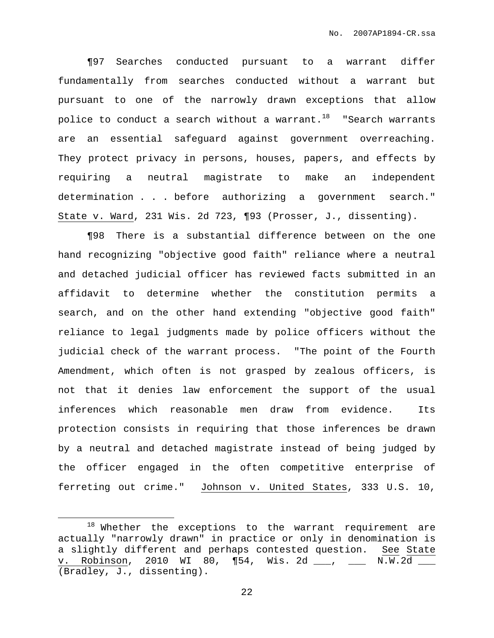¶97 Searches conducted pursuant to a warrant differ fundamentally from searches conducted without a warrant but pursuant to one of the narrowly drawn exceptions that allow police to conduct a search without a warrant.<sup>18</sup> "Search warrants are an essential safeguard against government overreaching. They protect privacy in persons, houses, papers, and effects by requiring a neutral magistrate to make an independent determination . . . before authorizing a government search." State v. Ward, 231 Wis. 2d 723, ¶93 (Prosser, J., dissenting).

¶98 There is a substantial difference between on the one hand recognizing "objective good faith" reliance where a neutral and detached judicial officer has reviewed facts submitted in an affidavit to determine whether the constitution permits a search, and on the other hand extending "objective good faith" reliance to legal judgments made by police officers without the judicial check of the warrant process. "The point of the Fourth Amendment, which often is not grasped by zealous officers, is not that it denies law enforcement the support of the usual inferences which reasonable men draw from evidence. Its protection consists in requiring that those inferences be drawn by a neutral and detached magistrate instead of being judged by the officer engaged in the often competitive enterprise of ferreting out crime." Johnson v. United States, 333 U.S. 10,

<sup>18</sup> Whether the exceptions to the warrant requirement are actually "narrowly drawn" in practice or only in denomination is a slightly different and perhaps contested question. See State v. Robinson, 2010 WI 80, ¶54, Wis. 2d \_\_\_, \_\_\_ N.W.2d \_\_\_ (Bradley, J., dissenting).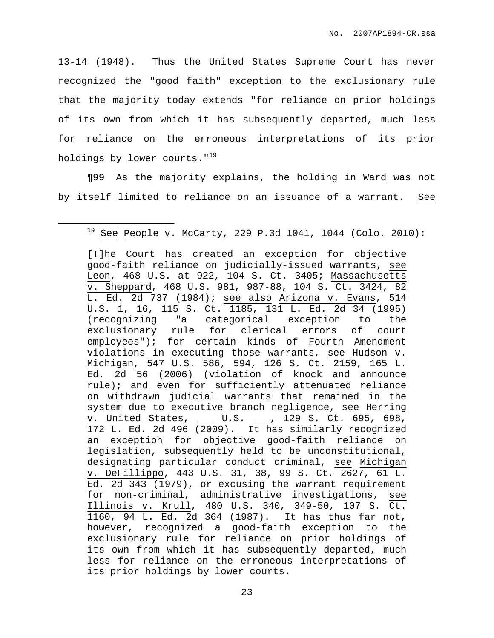13-14 (1948). Thus the United States Supreme Court has never recognized the "good faith" exception to the exclusionary rule that the majority today extends "for reliance on prior holdings of its own from which it has subsequently departed, much less for reliance on the erroneous interpretations of its prior holdings by lower courts."<sup>19</sup>

¶99 As the majority explains, the holding in Ward was not by itself limited to reliance on an issuance of a warrant. See

 $19$  See People v. McCarty, 229 P.3d 1041, 1044 (Colo. 2010):

<sup>[</sup>T]he Court has created an exception for objective good-faith reliance on judicially-issued warrants, see Leon, 468 U.S. at 922, 104 S. Ct. 3405; Massachusetts v. Sheppard, 468 U.S. 981, 987-88, 104 S. Ct. 3424, 82 L. Ed. 2d 737 (1984); see also Arizona v. Evans, 514 U.S. 1, 16, 115 S. Ct. 1185, 131 L. Ed. 2d 34 (1995) (recognizing "a categorical exception to the exclusionary rule for clerical errors of court employees"); for certain kinds of Fourth Amendment violations in executing those warrants, see Hudson v. Michigan, 547 U.S. 586, 594, 126 S. Ct. 2159, 165 L. Ed. 2d 56 (2006) (violation of knock and announce rule); and even for sufficiently attenuated reliance on withdrawn judicial warrants that remained in the system due to executive branch negligence, see Herring v. United States, \_\_\_ U.S. \_\_\_, 129 S. Ct. 695, 698, 172 L. Ed. 2d 496 (2009). It has similarly recognized an exception for objective good-faith reliance on legislation, subsequently held to be unconstitutional, designating particular conduct criminal, see Michigan v. DeFillippo, 443 U.S. 31, 38, 99 S. Ct. 2627, 61 L. Ed. 2d 343 (1979), or excusing the warrant requirement for non-criminal, administrative investigations, see Illinois v. Krull, 480 U.S. 340, 349-50, 107 S. Ct. 1160, 94 L. Ed. 2d 364 (1987). It has thus far not, however, recognized a good-faith exception to the exclusionary rule for reliance on prior holdings of its own from which it has subsequently departed, much less for reliance on the erroneous interpretations of its prior holdings by lower courts.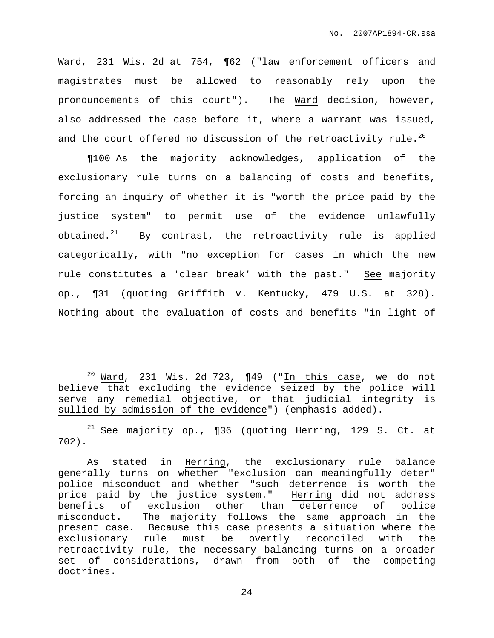Ward, 231 Wis. 2d at 754, ¶62 ("law enforcement officers and magistrates must be allowed to reasonably rely upon the pronouncements of this court"). The Ward decision, however, also addressed the case before it, where a warrant was issued, and the court offered no discussion of the retroactivity rule. $^{20}$ 

¶100 As the majority acknowledges, application of the exclusionary rule turns on a balancing of costs and benefits, forcing an inquiry of whether it is "worth the price paid by the justice system" to permit use of the evidence unlawfully obtained. $^{21}$  By contrast, the retroactivity rule is applied categorically, with "no exception for cases in which the new rule constitutes a 'clear break' with the past." See majority op., ¶31 (quoting Griffith v. Kentucky, 479 U.S. at 328). Nothing about the evaluation of costs and benefits "in light of

 $21$  See majority op., ¶36 (quoting Herring, 129 S. Ct. at 702).

<sup>&</sup>lt;sup>20</sup> Ward, 231 Wis. 2d 723,  $\P$ 49 ("In this case, we do not believe that excluding the evidence seized by the police will serve any remedial objective, or that judicial integrity is sullied by admission of the evidence") (emphasis added).

As stated in Herring, the exclusionary rule balance generally turns on whether "exclusion can meaningfully deter" police misconduct and whether "such deterrence is worth the price paid by the justice system." Herring did not address benefits of exclusion other than deterrence of police misconduct. The majority follows the same approach in the present case. Because this case presents a situation where the exclusionary rule must be overtly reconciled with the retroactivity rule, the necessary balancing turns on a broader set of considerations, drawn from both of the competing doctrines.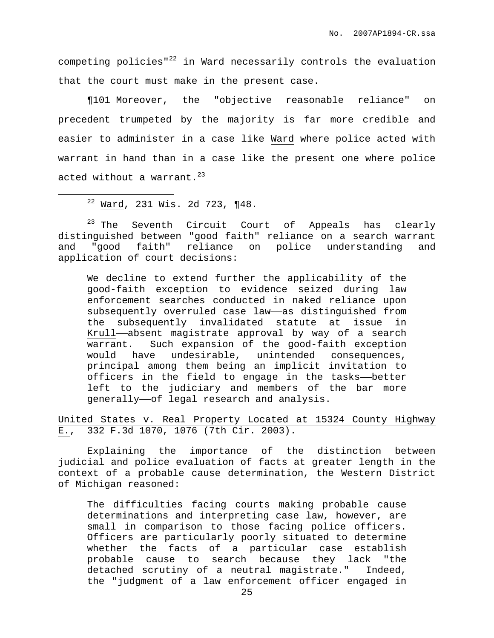competing policies"<sup>22</sup> in Ward necessarily controls the evaluation that the court must make in the present case.

¶101 Moreover, the "objective reasonable reliance" on precedent trumpeted by the majority is far more credible and easier to administer in a case like Ward where police acted with warrant in hand than in a case like the present one where police acted without a warrant. 23

 $22$  Ward, 231 Wis. 2d 723, ¶48.

<sup>23</sup> The Seventh Circuit Court of Appeals has clearly distinguished between "good faith" reliance on a search warrant and "good faith" reliance on police understanding and application of court decisions:

We decline to extend further the applicability of the good-faith exception to evidence seized during law enforcement searches conducted in naked reliance upon subsequently overruled case law-as distinguished from the subsequently invalidated statute at issue in Krull——absent magistrate approval by way of a search warrant. Such expansion of the good-faith exception would have undesirable, unintended consequences, principal among them being an implicit invitation to officers in the field to engage in the tasks——better left to the judiciary and members of the bar more generally——of legal research and analysis.

United States v. Real Property Located at 15324 County Highway E., 332 F.3d 1070, 1076 (7th Cir. 2003).

Explaining the importance of the distinction between judicial and police evaluation of facts at greater length in the context of a probable cause determination, the Western District of Michigan reasoned:

The difficulties facing courts making probable cause determinations and interpreting case law, however, are small in comparison to those facing police officers. Officers are particularly poorly situated to determine whether the facts of a particular case establish probable cause to search because they lack "the detached scrutiny of a neutral magistrate." Indeed, the "judgment of a law enforcement officer engaged in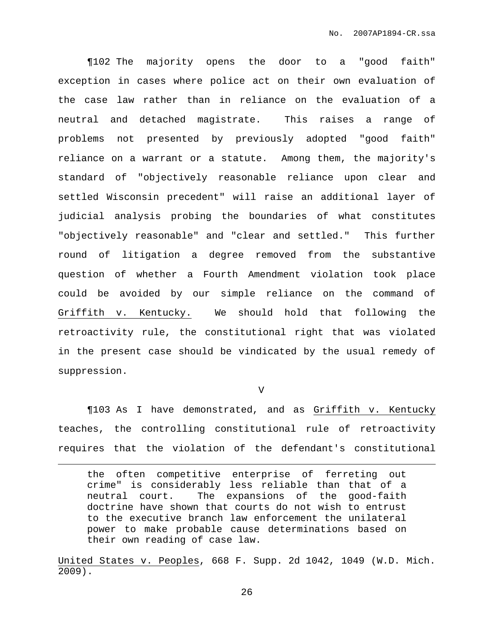¶102 The majority opens the door to a "good faith" exception in cases where police act on their own evaluation of the case law rather than in reliance on the evaluation of a neutral and detached magistrate. This raises a range of problems not presented by previously adopted "good faith" reliance on a warrant or a statute. Among them, the majority's standard of "objectively reasonable reliance upon clear and settled Wisconsin precedent" will raise an additional layer of judicial analysis probing the boundaries of what constitutes "objectively reasonable" and "clear and settled." This further round of litigation a degree removed from the substantive question of whether a Fourth Amendment violation took place could be avoided by our simple reliance on the command of Griffith v. Kentucky. We should hold that following the retroactivity rule, the constitutional right that was violated in the present case should be vindicated by the usual remedy of suppression.

 $\overline{V}$ 

¶103 As I have demonstrated, and as Griffith v. Kentucky teaches, the controlling constitutional rule of retroactivity requires that the violation of the defendant's constitutional

the often competitive enterprise of ferreting out crime" is considerably less reliable than that of a neutral court. The expansions of the good-faith doctrine have shown that courts do not wish to entrust to the executive branch law enforcement the unilateral power to make probable cause determinations based on their own reading of case law.

United States v. Peoples, 668 F. Supp. 2d 1042, 1049 (W.D. Mich. 2009).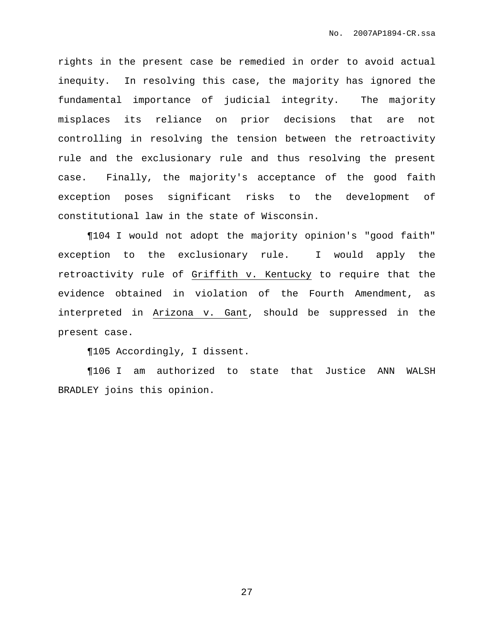rights in the present case be remedied in order to avoid actual inequity. In resolving this case, the majority has ignored the fundamental importance of judicial integrity. The majority misplaces its reliance on prior decisions that are not controlling in resolving the tension between the retroactivity rule and the exclusionary rule and thus resolving the present case. Finally, the majority's acceptance of the good faith exception poses significant risks to the development of constitutional law in the state of Wisconsin.

¶104 I would not adopt the majority opinion's "good faith" exception to the exclusionary rule. I would apply the retroactivity rule of Griffith v. Kentucky to require that the evidence obtained in violation of the Fourth Amendment, as interpreted in Arizona v. Gant, should be suppressed in the present case.

¶105 Accordingly, I dissent.

¶106 I am authorized to state that Justice ANN WALSH BRADLEY joins this opinion.